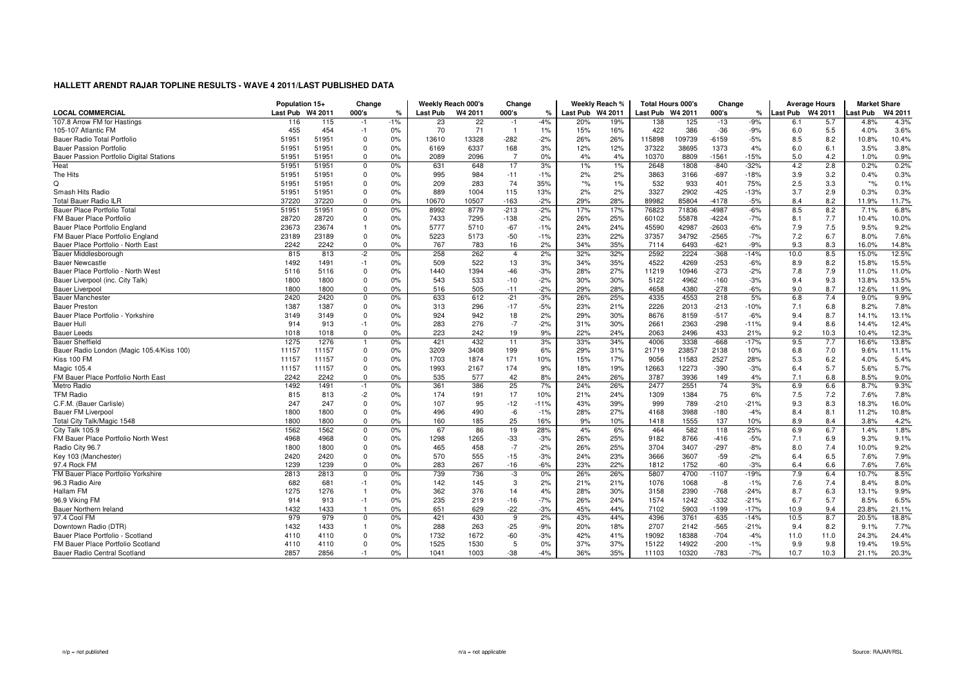|                                           | Population 15+ |         | Change         |               | Weekly Reach 000's |         | Change         |               |                  | Weekly Reach % |                  | <b>Total Hours 000's</b> | Change  |        |          | <b>Average Hours</b> | <b>Market Share</b> |                     |
|-------------------------------------------|----------------|---------|----------------|---------------|--------------------|---------|----------------|---------------|------------------|----------------|------------------|--------------------------|---------|--------|----------|----------------------|---------------------|---------------------|
| <b>LOCAL COMMERCIAL</b>                   | Last Pub       | W4 2011 | 000's          | $\frac{1}{c}$ | Last Pub           | W4 2011 | 000's          | $\frac{9}{6}$ | Last Pub W4 2011 |                | Last Pub W4 2011 |                          | 000's   | ℀      | ast Pub. | W4 2011              | Last Pub            | W4 201 <sup>-</sup> |
| 107.8 Arrow FM for Hastings               | 116            | 115     | $-1$           | -1%           | 23                 | 22      | $-1$           | -4%           | 20%              | 19%            | 138              | 125                      | $-13$   | $-9%$  | 6.1      | 5.7                  | 4.8%                | 4.3%                |
| 105-107 Atlantic FM                       | 455            | 454     | $-1$           | 0%            | 70                 | 71      | $\overline{1}$ | 1%            | 15%              | 16%            | 422              | 386                      | $-36$   | $-9%$  | 6.0      | $5.5$                | 4.0%                | 3.6%                |
| Bauer Radio Total Portfolio               | 51951          | 51951   | 0              | 0%            | 13610              | 13328   | $-282$         | $-2%$         | 26%              | 26%            | 115898           | 109739                   | $-6159$ | $-5%$  | 8.5      | 8.2                  | 10.8%               | 10.4%               |
| <b>Bauer Passion Portfolio</b>            | 51951          | 51951   | $\Omega$       | 0%            | 6169               | 6337    | 168            | 3%            | 12%              | 12%            | 37322            | 38695                    | 1373    | 4%     | 6.0      | 6.1                  | 3.5%                | 3.8%                |
| Bauer Passion Portfolio Digital Stations  | 51951          | 51951   | $\Omega$       | 0%            | 2089               | 2096    | $\overline{7}$ | 0%            | 4%               | 4%             | 10370            | 8809                     | $-1561$ | $-15%$ | 5.0      | 4.2                  | 1.0%                | 0.9%                |
| Heat                                      | 51951          | 51951   | $\Omega$       | 0%            | 631                | 648     | 17             | 3%            | 1%               | 1%             | 2648             | 1808                     | $-840$  | $-32%$ | 4.2      | 2.8                  | 0.2%                | 0.2%                |
| The Hits                                  | 51951          | 51951   | $\Omega$       | 0%            | 995                | 984     | $-11$          | $-1%$         | 2%               | 2%             | 3863             | 3166                     | $-697$  | $-18%$ | 3.9      | 3.2                  | 0.4%                | 0.3%                |
| Q                                         | 51951          | 51951   | $\Omega$       | 0%            | 209                | 283     | 74             | 35%           | $*$ %            | 1%             | 532              | 933                      | 401     | 75%    | 2.5      | 3.3                  | $*_{\%}$            | 0.1%                |
| Smash Hits Radio                          | 51951          | 51951   | $\Omega$       | 0%            | 889                | 1004    | 115            | 13%           | 2%               | 2%             | 3327             | 2902                     | $-425$  | $-13%$ | 3.7      | 2.9                  | 0.3%                | 0.3%                |
| <b>Total Bauer Radio ILR</b>              | 37220          | 37220   | $\Omega$       | 0%            | 10670              | 10507   | $-163$         | $-2%$         | 29%              | 28%            | 89982            | 85804                    | $-4178$ | $-5%$  | 8.4      | 8.2                  | 11.9%               | 11.7%               |
| Bauer Place Portfolio Total               | 51951          | 51951   | 0              | 0%            | 8992               | 8779    | $-213$         | $-2%$         | 17%              | 17%            | 76823            | 71836                    | $-4987$ | $-6%$  | 8.5      | 8.2                  | 7.1%                | 6.8%                |
| FM Bauer Place Portfolio                  | 28720          | 28720   | $\Omega$       | 0%            | 7433               | 7295    | $-138$         | $-2%$         | 26%              | 25%            | 60102            | 55878                    | $-4224$ | $-7%$  | 8.1      | 7.7                  | 10.4%               | 10.0%               |
| Bauer Place Portfolio England             | 23673          | 23674   | $\overline{1}$ | 0%            | 5777               | 5710    | $-67$          | $-1%$         | 24%              | 24%            | 45590            | 42987                    | $-2603$ | $-6%$  | 7.9      | 7.5                  | 9.5%                | 9.2%                |
| FM Bauer Place Portfolio England          | 23189          | 23189   | $\Omega$       | 0%            | 5223               | 5173    | $-50$          | $-1%$         | 23%              | 22%            | 37357            | 34792                    | $-2565$ | $-7%$  | 7.2      | 6.7                  | 8.0%                | 7.6%                |
| Bauer Place Portfolio - North East        | 2242           | 2242    | $\Omega$       | 0%            | 767                | 783     | 16             | 2%            | 34%              | 35%            | 7114             | 6493                     | $-621$  | $-9%$  | 9.3      | 8.3                  | 16.0%               | 14.8%               |
| Bauer Middlesborough                      | 815            | 813     | $-2$           | 0%            | 258                | 262     | $\overline{4}$ | 2%            | 32%              | 32%            | 2592             | 2224                     | $-368$  | $-14%$ | 10.0     | 8.5                  | 15.0%               | 12.5%               |
| <b>Bauer Newcastle</b>                    | 1492           | 1491    | $-1$           | 0%            | 509                | 522     | 13             | 3%            | 34%              | 35%            | 4522             | 4269                     | $-253$  | $-6%$  | 8.9      | 8.2                  | 15.8%               | 15.5%               |
| Bauer Place Portfolio - North West        | 5116           | 5116    | $\Omega$       | 0%            | 1440               | 1394    | $-46$          | $-3%$         | 28%              | 27%            | 11219            | 10946                    | $-273$  | $-2%$  | 7.8      | 7.9                  | 11.0%               | 11.0%               |
| Bauer Liverpool (inc. City Talk)          | 1800           | 1800    | 0              | 0%            | 543                | 533     | $-10$          | $-2%$         | 30%              | 30%            | 5122             | 4962                     | $-160$  | $-3%$  | 9.4      | 9.3                  | 13.8%               | 13.5%               |
| <b>Bauer Liverpool</b>                    | 1800           | 1800    | $\Omega$       | 0%            | 516                | 505     | $-11$          | $-2%$         | 29%              | 28%            | 4658             | 4380                     | $-278$  | $-6%$  | 9.0      | 8.7                  | 12.6%               | 11.9%               |
| <b>Bauer Manchester</b>                   | 2420           | 2420    | 0              | 0%            | 633                | 612     | $-21$          | $-3%$         | 26%              | 25%            | 4335             | 4553                     | 218     | 5%     | 6.8      | 7.4                  | 9.0%                | 9.9%                |
| <b>Bauer Preston</b>                      | 1387           | 1387    | $\Omega$       | 0%            | 313                | 296     | $-17$          | $-5%$         | 23%              | 21%            | 2226             | 2013                     | $-213$  | $-10%$ | 7.1      | 6.8                  | 8.2%                | 7.8%                |
| Bauer Place Portfolio - Yorkshire         | 3149           | 3149    | $\Omega$       | 0%            | 924                | 942     | 18             | 2%            | 29%              | 30%            | 8676             | 8159                     | $-517$  | $-6%$  | 9.4      | 8.7                  | 14.1%               | 13.1%               |
| <b>Bauer Hull</b>                         | 914            | 913     | $-1$           | 0%            | 283                | 276     | $-7$           | $-2%$         | 31%              | 30%            | 2661             | 2363                     | $-298$  | $-11%$ | 9.4      | 8.6                  | 14.4%               | 12.4%               |
| <b>Bauer Leeds</b>                        | 1018           | 1018    | $\Omega$       | 0%            | 223                | 242     | 19             | 9%            | 22%              | 24%            | 2063             | 2496                     | 433     | 21%    | 9.2      | 10.3                 | 10.4%               | 12.3%               |
| <b>Bauer Sheffield</b>                    | 1275           | 1276    |                | 0%            | 421                | 432     | 11             | 3%            | 33%              | 34%            | 4006             | 3338                     | $-668$  | $-17%$ | 9.5      | 7.7                  | 16.6%               | 13.8%               |
| Bauer Radio London (Magic 105.4/Kiss 100) | 11157          | 11157   | $\Omega$       | 0%            | 3209               | 3408    | 199            | 6%            | 29%              | 31%            | 21719            | 23857                    | 2138    | 10%    | 6.8      | 7.0                  | 9.6%                | 11.1%               |
| Kiss 100 FM                               | 11157          | 11157   | $\Omega$       | 0%            | 1703               | 1874    | 171            | 10%           | 15%              | 17%            | 9056             | 11583                    | 2527    | 28%    | 5.3      | 6.2                  | 4.0%                | 5.4%                |
| Magic 105.4                               | 11157          | 11157   | $\mathbf 0$    | 0%            | 1993               | 2167    | 174            | 9%            | 18%              | 19%            | 12663            | 12273                    | $-390$  | $-3%$  | 6.4      | 5.7                  | 5.6%                | 5.7%                |
| FM Bauer Place Portfolio North East       | 2242           | 2242    | $\Omega$       | 0%            | 535                | 577     | 42             | 8%            | 24%              | 26%            | 3787             | 3936                     | 149     | 4%     | 7.1      | 6.8                  | 8.5%                | 9.0%                |
| Metro Radio                               | 1492           | 1491    | $-1$           | 0%            | 361                | 386     | 25             | 7%            | 24%              | 26%            | 2477             | 2551                     | 74      | 3%     | 6.9      | 6.6                  | 8.7%                | 9.3%                |
| <b>TFM Radio</b>                          | 815            | 813     | $-2$           | 0%            | 174                | 191     | 17             | 10%           | 21%              | 24%            | 1309             | 1384                     | 75      | 6%     | 7.5      | 7.2                  | 7.6%                | 7.8%                |
| C.F.M. (Bauer Carlisle)                   | 247            | 247     | $\Omega$       | 0%            | 107                | 95      | $-12$          | $-11%$        | 43%              | 39%            | 999              | 789                      | $-210$  | $-21%$ | 9.3      | 8.3                  | 18.3%               | 16.0%               |
| <b>Bauer FM Liverpool</b>                 | 1800           | 1800    | $\mathbf 0$    | 0%            | 496                | 490     | -6             | $-1%$         | 28%              | 27%            | 4168             | 3988                     | $-180$  | $-4%$  | 8.4      | 8.1                  | 11.2%               | 10.8%               |
| Total City Talk/Magic 1548                | 1800           | 1800    | $\Omega$       | 0%            | 160                | 185     | 25             | 16%           | 9%               | 10%            | 1418             | 1555                     | 137     | 10%    | 8.9      | 8.4                  | 3.8%                | 4.2%                |
| City Talk 105.9                           | 1562           | 1562    | $\Omega$       | 0%            | 67                 | 86      | 19             | 28%           | 4%               | 6%             | 464              | 582                      | 118     | 25%    | 6.9      | 6.7                  | 1.4%                | 1.8%                |
| FM Bauer Place Portfolio North West       | 4968           | 4968    | $\Omega$       | 0%            | 1298               | 1265    | $-33$          | $-3%$         | 26%              | 25%            | 9182             | 8766                     | $-416$  | $-5%$  | 7.1      | 6.9                  | 9.3%                | 9.1%                |
| Radio City 96.7                           | 1800           | 1800    | $\mathbf 0$    | 0%            | 465                | 458     | $-7$           | $-2%$         | 26%              | 25%            | 3704             | 3407                     | $-297$  | $-8%$  | 8.0      | 7.4                  | 10.0%               | 9.2%                |
| Key 103 (Manchester)                      | 2420           | 2420    | $\Omega$       | 0%            | 570                | 555     | $-15$          | -3%           | 24%              | 23%            | 3666             | 3607                     | $-59$   | $-2%$  | 6.4      | 6.5                  | 7.6%                | 7.9%                |
| 97.4 Rock FM                              | 1239           | 1239    | $\Omega$       | 0%            | 283                | 267     | $-16$          | $-6%$         | 23%              | 22%            | 1812             | 1752                     | $-60$   | $-3%$  | 6.4      | 6.6                  | 7.6%                | 7.6%                |
| FM Bauer Place Portfolio Yorkshire        | 2813           | 2813    | $\mathbf 0$    | 0%            | 739                | 736     | -3             | 0%            | 26%              | 26%            | 5807             | 4700                     | $-1107$ | $-19%$ | 7.9      | 6.4                  | 10.7%               | 8.5%                |
| 96.3 Radio Aire                           | 682            | 681     | $-1$           | 0%            | 142                | 145     | 3              | 2%            | 21%              | 21%            | 1076             | 1068                     | -8      |        | 7.6      |                      | 8.4%                | 8.0%                |
|                                           | 1275           | 1276    |                |               | 362                | 376     | 14             |               |                  |                |                  | 2390                     |         | $-1\%$ | 8.7      | 7.4                  |                     | 9.9%                |
| Hallam FM<br>96.9 Viking FM               |                | 913     |                | 0%<br>0%      | 235                | 219     |                | 4%<br>$-7%$   | 28%<br>26%       | 30%<br>24%     | 3158<br>1574     | 1242                     | $-768$  | $-24%$ | 6.7      | 6.3<br>5.7           | 13.1%<br>8.5%       |                     |
|                                           | 914            |         | $-1$           |               |                    |         | $-16$          |               |                  |                |                  |                          | $-332$  | $-21%$ |          |                      |                     | 6.5%                |
| Bauer Northern Ireland                    | 1432           | 1433    | $\overline{1}$ | 0%            | 651                | 629     | $-22$          | $-3%$         | 45%              | 44%            | 7102             | 5903                     | $-1199$ | $-17%$ | 10.9     | 9.4                  | 23.8%               | 21.1%               |
| 97.4 Cool FM                              | 979            | 979     | $\mathbf 0$    | 0%            | 421                | 430     | 9              | 2%            | 43%              | 44%            | 4396             | 3761                     | $-635$  | $-14%$ | 10.5     | 8.7                  | 20.5%               | 18.8%               |
| Downtown Radio (DTR)                      | 1432           | 1433    |                | 0%            | 288                | 263     | $-25$          | $-9%$         | 20%              | 18%            | 2707             | 2142                     | $-565$  | $-21%$ | 9.4      | 8.2                  | 9.1%                | 7.7%                |
| Bauer Place Portfolio - Scotland          | 4110           | 4110    | $\Omega$       | 0%            | 1732               | 1672    | -60            | -3%           | 42%              | 41%            | 19092            | 18388                    | $-704$  | $-4%$  | 11.0     | 11.0                 | 24.3%               | 24.4%               |
| FM Bauer Place Portfolio Scotland         | 4110           | 4110    | $\Omega$       | 0%            | 1525               | 1530    | 5              | 0%            | 37%              | 37%            | 15122            | 14922                    | $-200$  | $-1%$  | 9.9      | 9.8                  | 19.4%               | 19.5%               |
| Bauer Radio Central Scotland              | 2857           | 2856    | $-1$           | 0%            | 1041               | 1003    | $-38$          | $-4%$         | 36%              | 35%            | 11103            | 10320                    | $-783$  | $-7%$  | 10.7     | 10.3                 | 21.1%               | 20.3%               |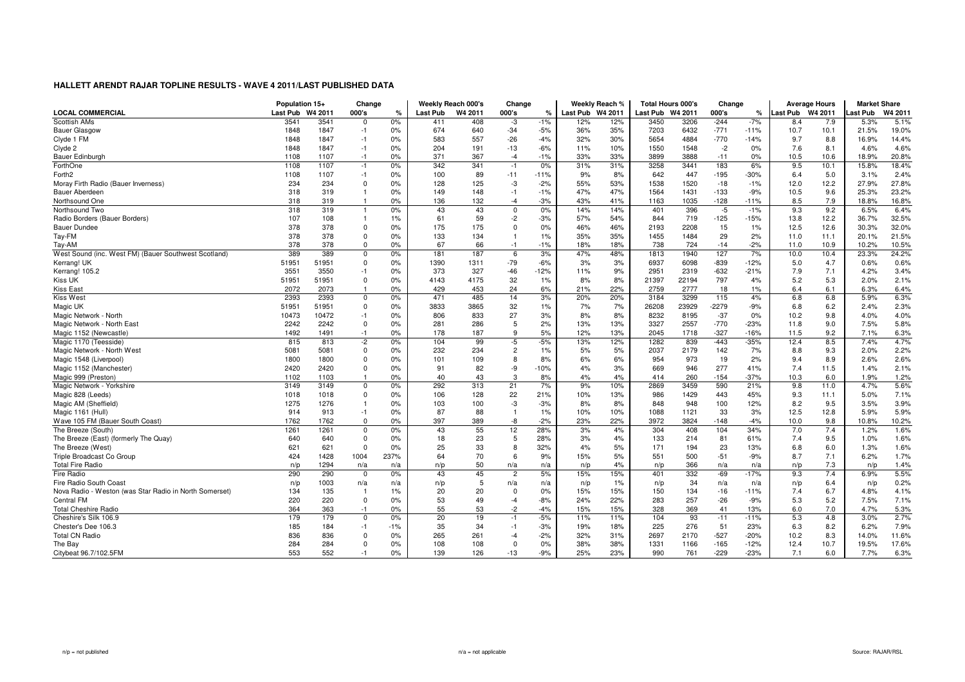|                                                        | Population 15+ |         | Change         |       |          | Weekly Reach 000's | Change         |        |                  | Weekly Reach % | <b>Total Hours 000's</b> |       | Change  |        |         | <b>Average Hours</b> | <b>Market Share</b> |        |
|--------------------------------------------------------|----------------|---------|----------------|-------|----------|--------------------|----------------|--------|------------------|----------------|--------------------------|-------|---------|--------|---------|----------------------|---------------------|--------|
| <b>LOCAL COMMERCIAL</b>                                | Last Pub       | W4 2011 | 000's          | %     | Last Pub | W4 2011            | 000's          | ℀      | Last Pub W4 2011 |                | Last Pub W4 2011         |       | 000's   | ℀      | ast Pub | W4 2011              | ∟ast Pub            | W4 201 |
| Scottish AMs                                           | 3541           | 3541    | $\Omega$       | 0%    | 411      | 408                | -3             | $-1%$  | 12%              | 12%            | 3450                     | 3206  | $-244$  | $-7%$  | 8.4     | 7.9                  | 5.3%                | 5.1%   |
| <b>Bauer Glasgow</b>                                   | 1848           | 1847    | $-1$           | 0%    | 674      | 640                | $-34$          | $-5%$  | 36%              | 35%            | 7203                     | 6432  | $-771$  | $-11%$ | 10.7    | 10.1                 | 21.5%               | 19.0%  |
| Clyde 1 FM                                             | 1848           | 1847    | $-1$           | 0%    | 583      | 557                | $-26$          | $-4%$  | 32%              | 30%            | 5654                     | 4884  | $-770$  | $-14%$ | 9.7     | 8.8                  | 16.9%               | 14.4%  |
| Clyde 2                                                | 1848           | 1847    | $-1$           | 0%    | 204      | 191                | $-13$          | $-6%$  | 11%              | 10%            | 1550                     | 1548  | $-2$    | 0%     | 7.6     | 8.1                  | 4.6%                | 4.6%   |
| Bauer Edinburgh                                        | 1108           | 1107    | $-1$           | 0%    | 371      | 367                | $-4$           | $-1%$  | 33%              | 33%            | 3899                     | 3888  | $-11$   | 0%     | 10.5    | 10.6                 | 18.9%               | 20.8%  |
| ForthOne                                               | 1108           | 1107    | $-1$           | 0%    | 342      | 341                | $-1$           | 0%     | 31%              | 31%            | 3258                     | 3441  | 183     | 6%     | 9.5     | 10.1                 | 15.8%               | 18.4%  |
| Forth <sub>2</sub>                                     | 1108           | 1107    | $-1$           | 0%    | 100      | 89                 | $-11$          | $-11%$ | 9%               | 8%             | 642                      | 447   | $-195$  | -30%   | 6.4     | 5.0                  | 3.1%                | 2.4%   |
| Moray Firth Radio (Bauer Inverness)                    | 234            | 234     | $\Omega$       | 0%    | 128      | 125                | -3             | $-2%$  | 55%              | 53%            | 1538                     | 1520  | $-18$   | $-1%$  | 12.0    | 12.2                 | 27.9%               | 27.8%  |
| Bauer Aberdeen                                         | 318            | 319     |                | 0%    | 149      | 148                | $-1$           | $-1%$  | 47%              | 47%            | 1564                     | 1431  | $-133$  | $-9%$  | 10.5    | 9.6                  | 25.3%               | 23.2%  |
| Northsound One                                         | 318            | 319     |                | 0%    | 136      | 132                | $-4$           | $-3%$  | 43%              | 41%            | 1163                     | 1035  | $-128$  | $-11%$ | 8.5     | 7.9                  | 18.8%               | 16.8%  |
| Northsound Two                                         | 318            | 319     | -1             | 0%    | 43       | 43                 | $\mathbf 0$    | 0%     | 14%              | 14%            | 401                      | 396   | $-5$    | $-1%$  | 9.3     | 9.2                  | 6.5%                | 6.4%   |
| Radio Borders (Bauer Borders)                          | 107            | 108     | $\overline{1}$ | 1%    | 61       | 59                 | $-2$           | $-3%$  | 57%              | 54%            | 844                      | 719   | $-125$  | $-15%$ | 13.8    | 12.2                 | 36.7%               | 32.5%  |
| <b>Bauer Dundee</b>                                    | 378            | 378     | $\Omega$       | 0%    | 175      | 175                | $\Omega$       | 0%     | 46%              | 46%            | 2193                     | 2208  | 15      | 1%     | 12.5    | 12.6                 | 30.3%               | 32.0%  |
| Tay-FM                                                 | 378            | 378     | $\Omega$       | 0%    | 133      | 134                | -1             | 1%     | 35%              | 35%            | 1455                     | 1484  | 29      | 2%     | 11.0    | 11.1                 | 20.1%               | 21.5%  |
| Tay-AM                                                 | 378            | 378     | $\Omega$       | 0%    | 67       | 66                 | $-1$           | $-1%$  | 18%              | 18%            | 738                      | 724   | $-14$   | $-2%$  | 11.0    | 10.9                 | 10.2%               | 10.5%  |
| West Sound (inc. West FM) (Bauer Southwest Scotland)   | 389            | 389     | $\mathbf 0$    | 0%    | 181      | 187                | 6              | 3%     | 47%              | 48%            | 1813                     | 1940  | 127     | 7%     | 10.0    | 10.4                 | 23.3%               | 24.2%  |
| Kerrang! UK                                            | 51951          | 51951   | $\Omega$       | 0%    | 1390     | 1311               | $-79$          | -6%    | 3%               | 3%             | 6937                     | 6098  | -839    | $-12%$ | 5.0     | 4.7                  | 0.6%                | 0.6%   |
| Kerrang! 105.2                                         | 3551           | 3550    | $-1$           | 0%    | 373      | 327                | $-46$          | $-12%$ | 11%              | 9%             | 2951                     | 2319  | $-632$  | $-21%$ | 7.9     | 7.1                  | 4.2%                | 3.4%   |
| Kiss UK                                                | 51951          | 51951   | $\Omega$       | 0%    | 4143     | 4175               | 32             | 1%     | 8%               | 8%             | 21397                    | 22194 | 797     | 4%     | 5.2     | 5.3                  | 2.0%                | 2.1%   |
| <b>Kiss East</b>                                       | 2072           | 2073    |                | 0%    | 429      | 453                | 24             | 6%     | 21%              | 22%            | 2759                     | 2777  | 18      | 1%     | 6.4     | 6.1                  | 6.3%                | 6.4%   |
| Kiss West                                              | 2393           | 2393    | $\mathbf 0$    | 0%    | 471      | 485                | 14             | 3%     | 20%              | 20%            | 3184                     | 3299  | 115     | 4%     | 6.8     | 6.8                  | 5.9%                | 6.3%   |
| Magic UK                                               | 51951          | 51951   | $\Omega$       | 0%    | 3833     | 3865               | 32             | 1%     | 7%               | 7%             | 26208                    | 23929 | $-2279$ | $-9%$  | 6.8     | 6.2                  | 2.4%                | 2.3%   |
| Magic Network - North                                  | 10473          | 10472   | $-1$           | 0%    | 806      | 833                | 27             | 3%     | 8%               | 8%             | 8232                     | 8195  | $-37$   | 0%     | 10.2    | 9.8                  | 4.0%                | 4.0%   |
| Magic Network - North East                             | 2242           | 2242    | $\mathbf 0$    | 0%    | 281      | 286                | 5              | 2%     | 13%              | 13%            | 3327                     | 2557  | $-770$  | $-23%$ | 11.8    | 9.0                  | 7.5%                | 5.8%   |
| Magic 1152 (Newcastle)                                 | 1492           | 1491    | $-1$           | 0%    | 178      | 187                | 9              | 5%     | 12%              | 13%            | 2045                     | 1718  | $-327$  | $-16%$ | 11.5    | 9.2                  | 7.1%                | 6.3%   |
| Magic 1170 (Teesside)                                  | 815            | 813     | $-2$           | 0%    | 104      | 99                 | $-5$           | $-5%$  | 13%              | 12%            | 1282                     | 839   | $-443$  | $-35%$ | 12.4    | 8.5                  | 7.4%                | 4.7%   |
| Magic Network - North West                             | 5081           | 5081    | $\Omega$       | 0%    | 232      | 234                | $\overline{c}$ | 1%     | 5%               | 5%             | 2037                     | 2179  | 142     | 7%     | 8.8     | 9.3                  | 2.0%                | 2.2%   |
| Magic 1548 (Liverpool)                                 | 1800           | 1800    | $\mathbf 0$    | 0%    | 101      | 109                | 8              | 8%     | 6%               | 6%             | 954                      | 973   | 19      | 2%     | 9.4     | 8.9                  | 2.6%                | 2.6%   |
| Magic 1152 (Manchester)                                | 2420           | 2420    | $\Omega$       | 0%    | 91       | 82                 | -9             | $-10%$ | 4%               | 3%             | 669                      | 946   | 277     | 41%    | 7.4     | 11.5                 | 1.4%                | 2.1%   |
| Magic 999 (Preston)                                    | 1102           | 1103    |                | 0%    | 40       | 43                 | 3              | 8%     | 4%               | 4%             | 414                      | 260   | $-154$  | 37%    | 10.3    | 6.0                  | 1.9%                | 1.2%   |
| Magic Network - Yorkshire                              | 3149           | 3149    | $\Omega$       | 0%    | 292      | 313                | 21             | 7%     | 9%               | 10%            | 2869                     | 3459  | 590     | 21%    | 9.8     | 11.0                 | 4.7%                | 5.6%   |
| Magic 828 (Leeds)                                      | 1018           | 1018    | $\Omega$       | 0%    | 106      | 128                | 22             | 21%    | 10%              | 13%            | 986                      | 1429  | 443     | 45%    | 9.3     | 11.1                 | 5.0%                | 7.1%   |
| Magic AM (Sheffield)                                   | 1275           | 1276    |                | 0%    | 103      | 100                | -3             | $-3%$  | 8%               | 8%             | 848                      | 948   | 100     | 12%    | 8.2     | 9.5                  | 3.5%                | 3.9%   |
| Magic 1161 (Hull)                                      | 914            | 913     | $-1$           | 0%    | 87       | 88                 | $\overline{1}$ | 1%     | 10%              | 10%            | 1088                     | 1121  | 33      | 3%     | 12.5    | 12.8                 | 5.9%                | 5.9%   |
| Wave 105 FM (Bauer South Coast)                        | 1762           | 1762    | $\Omega$       | 0%    | 397      | 389                | -8             | $-2%$  | 23%              | 22%            | 3972                     | 3824  | $-148$  | $-4%$  | 10.0    | 9.8                  | 10.8%               | 10.2%  |
| The Breeze (South)                                     | 1261           | 1261    | $\Omega$       | 0%    | 43       | 55                 | 12             | 28%    | 3%               | 4%             | 304                      | 408   | 104     | 34%    | 7.0     | 7.4                  | 1.2%                | 1.6%   |
| The Breeze (East) (formerly The Quay)                  | 640            | 640     | $\Omega$       | 0%    | 18       | 23                 | 5              | 28%    | 3%               | 4%             | 133                      | 214   | 81      | 61%    | 7.4     | 9.5                  | 1.0%                | 1.6%   |
| The Breeze (West)                                      | 621            | 621     | $\Omega$       | 0%    | 25       | 33                 | 8              | 32%    | 4%               | 5%             | 171                      | 194   | 23      | 13%    | 6.8     | 6.0                  | 1.3%                | 1.6%   |
| Triple Broadcast Co Group                              | 424            | 1428    | 1004           | 237%  | 64       | 70                 | 6              | 9%     | 15%              | 5%             | 551                      | 500   | $-51$   | $-9%$  | 8.7     | 7.1                  | 6.2%                | 1.7%   |
| <b>Total Fire Radio</b>                                | n/p            | 1294    | n/a            | n/a   | n/p      | 50                 | n/a            | n/a    | n/p              | 4%             | n/p                      | 366   | n/a     | n/a    | n/p     | 7.3                  | n/p                 | 1.4%   |
| Fire Radio                                             | 290            | 290     | $\Omega$       | 0%    | 43       | 45                 | $\overline{c}$ | 5%     | 15%              | 15%            | 401                      | 332   | $-69$   | $-17%$ | 9.3     | 7.4                  | 6.9%                | 5.5%   |
| Fire Radio South Coast                                 | n/p            | 1003    | n/a            | n/a   | n/p      | 5                  | n/a            | n/a    | n/p              | 1%             | n/p                      | 34    | n/a     | n/a    | n/p     | 6.4                  | n/p                 | 0.2%   |
| Nova Radio - Weston (was Star Radio in North Somerset) | 134            | 135     | -1             | 1%    | 20       | 20                 | $\mathbf 0$    | 0%     | 15%              | 15%            | 150                      | 134   | $-16$   | $-11%$ | 7.4     | 6.7                  | 4.8%                | 4.1%   |
| <b>Central FM</b>                                      | 220            | 220     | $\Omega$       | 0%    | 53       | 49                 | $-4$           | $-8%$  | 24%              | 22%            | 283                      | 257   | $-26$   | $-9%$  | 5.3     | 5.2                  | 7.5%                | 7.1%   |
| <b>Total Cheshire Radio</b>                            | 364            | 363     | $-1$           | 0%    | 55       | 53                 | $-2$           | $-4%$  | 15%              | 15%            | 328                      | 369   | 41      | 13%    | 6.0     | 7.0                  | 4.7%                | 5.3%   |
| Cheshire's Silk 106.9                                  | 179            | 179     | $\Omega$       | 0%    | 20       | 19                 | $-1$           | $-5%$  | 11%              | 11%            | 104                      | 93    | $-11$   | $-11%$ | 5.3     | 4.8                  | 3.0%                | 2.7%   |
| Chester's Dee 106.3                                    | 185            | 184     | $-1$           | $-1%$ | 35       | 34                 | $-1$           | $-3%$  | 19%              | 18%            | 225                      | 276   | 51      | 23%    | 6.3     | 8.2                  | 6.2%                | 7.9%   |
| <b>Total CN Radio</b>                                  | 836            | 836     | $\Omega$       | 0%    | 265      | 261                | $-4$           | $-2%$  | 32%              | 31%            | 2697                     | 2170  | $-527$  | $-20%$ | 10.2    | 8.3                  | 14.0%               | 11.6%  |
| The Bay                                                | 284            | 284     | $\Omega$       | 0%    | 108      | 108                | $\mathbf 0$    | 0%     | 38%              | 38%            | 1331                     | 1166  | $-165$  | $-12%$ | 12.4    | 10.7                 | 19.5%               | 17.6%  |
| Citybeat 96.7/102.5FM                                  | 553            | 552     | $-1$           | 0%    | 139      | 126                | $-13$          | $-9%$  | 25%              | 23%            | 990                      | 761   | $-229$  | $-23%$ | 7.1     | 6.0                  | 7.7%                | 6.3%   |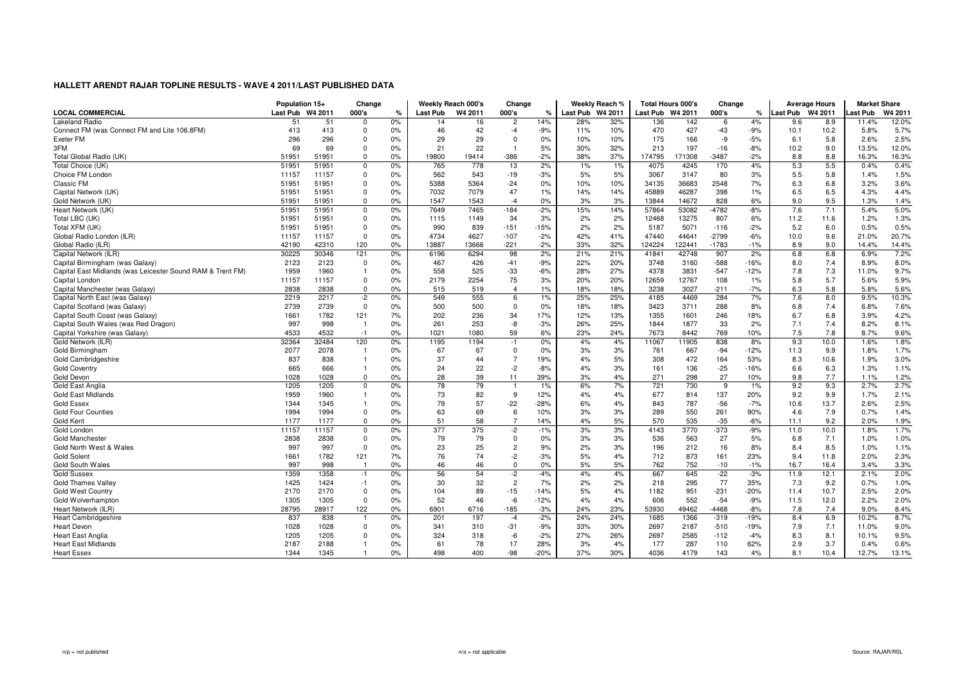|                                                            | Population 15+ |         | Change                  |               | Weekly Reach 000's |         | Change         |               |                  | Weekly Reach % | <b>Total Hours 000's</b> |        | Change  |        |         | <b>Average Hours</b> | <b>Market Share</b> |         |
|------------------------------------------------------------|----------------|---------|-------------------------|---------------|--------------------|---------|----------------|---------------|------------------|----------------|--------------------------|--------|---------|--------|---------|----------------------|---------------------|---------|
| <b>LOCAL COMMERCIAL</b>                                    | Last Pub       | W4 2011 | 000's                   | $\frac{1}{c}$ | Last Pub           | W4 2011 | 000's          | $\frac{1}{c}$ | Last Pub W4 2011 |                | Last Pub W4 2011         |        | 000's   | ℀      | ast Pub | W4 2011              | ast Pub             | W4 2011 |
| Lakeland Radio                                             | 51             | 51      | $\Omega$                | 0%            | 14                 | 16      | $\overline{c}$ | 14%           | 28%              | 32%            | 136                      | 142    | 6       | 4%     | 9.6     | 8.9                  | 11.4%               | 12.0%   |
| Connect FM (was Connect FM and Lite 106.8FM)               | 413            | 413     | 0                       | 0%            | 46                 | 42      | $-4$           | $-9%$         | 11%              | 10%            | 470                      | 427    | $-43$   | $-9%$  | 10.1    | 10.2                 | 5.8%                | 5.7%    |
| Exeter FM                                                  | 296            | 296     | 0                       | 0%            | 29                 | 29      | $\Omega$       | 0%            | 10%              | 10%            | 175                      | 166    | -9      | $-5%$  | 6.1     | 5.8                  | 2.6%                | 2.5%    |
| 3FM                                                        | 69             | 69      | $\Omega$                | 0%            | 21                 | 22      | $\overline{1}$ | 5%            | 30%              | 32%            | 213                      | 197    | $-16$   | $-8%$  | 10.2    | 9.0                  | 13.5%               | 12.0%   |
| Total Global Radio (UK)                                    | 51951          | 51951   | $\Omega$                | 0%            | 19800              | 19414   | $-386$         | $-2%$         | 38%              | 37%            | 174795                   | 171308 | $-3487$ | $-2%$  | 8.8     | 8.8                  | 16.3%               | 16.3%   |
| Total Choice (UK)                                          | 51951          | 51951   | $\Omega$                | 0%            | 765                | 778     | 13             | 2%            | 1%               | 1%             | 4075                     | 4245   | 170     | 4%     | 5.3     | 5.5                  | 0.4%                | 0.4%    |
| Choice FM London                                           | 11157          | 11157   | $\Omega$                | 0%            | 562                | 543     | $-19$          | $-3%$         | 5%               | 5%             | 3067                     | 3147   | 80      | 3%     | 5.5     | 5.8                  | 1.4%                | 1.5%    |
| Classic FM                                                 | 51951          | 51951   | $\Omega$                | 0%            | 5388               | 5364    | $-24$          | 0%            | 10%              | 10%            | 34135                    | 36683  | 2548    | 7%     | 6.3     | 6.8                  | 3.2%                | 3.6%    |
| Capital Network (UK)                                       | 51951          | 51951   | $\Omega$                | 0%            | 7032               | 7079    | 47             | 1%            | 14%              | 14%            | 45889                    | 46287  | 398     | 1%     | 6.5     | 6.5                  | 4.3%                | 4.4%    |
| Gold Network (UK)                                          | 51951          | 51951   | $\Omega$                | 0%            | 1547               | 1543    | $-4$           | 0%            | 3%               | 3%             | 13844                    | 14672  | 828     | 6%     | 9.0     | 9.5                  | 1.3%                | 1.4%    |
| Heart Network (UK)                                         | 51951          | 51951   | 0                       | 0%            | 7649               | 7465    | $-184$         | $-2%$         | 15%              | 14%            | 57864                    | 53082  | $-4782$ | $-8%$  | 7.6     | 7.1                  | 5.4%                | 5.0%    |
| Total LBC (UK)                                             | 51951          | 51951   | $\Omega$                | 0%            | 1115               | 1149    | 34             | 3%            | 2%               | 2%             | 12468                    | 13275  | 807     | 6%     | 11.2    | 11.6                 | 1.2%                | 1.3%    |
| Total XFM (UK)                                             | 51951          | 51951   | $\Omega$                | 0%            | 990                | 839     | $-151$         | $-15%$        | 2%               | 2%             | 5187                     | 5071   | $-116$  | $-2%$  | 5.2     | 6.0                  | 0.5%                | 0.5%    |
| Global Radio London (ILR)                                  | 11157          | 11157   | $\Omega$                | 0%            | 4734               | 4627    | $-107$         | $-2%$         | 42%              | 41%            | 47440                    | 44641  | $-2799$ | $-6%$  | 10.0    | 9.6                  | 21.0%               | 20.7%   |
| Global Radio (ILR)                                         | 42190          | 42310   | 120                     | 0%            | 13887              | 13666   | $-221$         | $-2%$         | 33%              | 32%            | 124224                   | 122441 | $-1783$ | $-1%$  | 8.9     | 9.0                  | 14.4%               | 14.4%   |
| Capital Network (ILR)                                      | 30225          | 30346   | 121                     | 0%            | 6196               | 6294    | 98             | 2%            | 21%              | 21%            | 41841                    | 42748  | 907     | 2%     | 6.8     | 6.8                  | 6.9%                | 7.2%    |
| Capital Birmingham (was Galaxy)                            | 2123           | 2123    | $\Omega$                | 0%            | 467                | 426     | $-41$          | $-9%$         | 22%              | 20%            | 3748                     | 3160   | $-588$  | $-16%$ | 8.0     | 7.4                  | 8.9%                | 8.0%    |
| Capital East Midlands (was Leicester Sound RAM & Trent FM) | 1959           | 1960    |                         | 0%            | 558                | 525     | $-33$          | $-6%$         | 28%              | 27%            | 4378                     | 3831   | $-547$  | $-12%$ | 7.8     | 7.3                  | 11.0%               | 9.7%    |
| Capital London                                             | 11157          | 11157   | 0                       | 0%            | 2179               | 2254    | 75             | 3%            | 20%              | 20%            | 12659                    | 12767  | 108     | 1%     | 5.8     | 5.7                  | 5.6%                | 5.9%    |
| Capital Manchester (was Galaxy)                            | 2838           | 2838    | $\Omega$                | 0%            | 515                | 519     | $\overline{4}$ | 1%            | 18%              | 18%            | 3238                     | 3027   | $-211$  | $-7%$  | 6.3     | 5.8                  | 5.8%                | 5.6%    |
| Capital North East (was Galaxy)                            | 2219           | 2217    | $-2$                    | 0%            | 549                | 555     | 6              | 1%            | 25%              | 25%            | 4185                     | 4469   | 284     | 7%     | 7.6     | 8.0                  | 9.5%                | 10.3%   |
| Capital Scotland (was Galaxy)                              | 2739           | 2739    | $\Omega$                | 0%            | 500                | 500     | $\Omega$       | 0%            | 18%              | 18%            | 3423                     | 3711   | 288     | 8%     | 6.8     | 7.4                  | 6.8%                | 7.6%    |
| Capital South Coast (was Galaxy)                           | 1661           | 1782    | 121                     | 7%            | 202                | 236     | 34             | 17%           | 12%              | 13%            | 1355                     | 1601   | 246     | 18%    | 6.7     | 6.8                  | 3.9%                | 4.2%    |
| Capital South Wales (was Red Dragon)                       | 997            | 998     | $\overline{1}$          | 0%            | 261                | 253     | -8             | $-3%$         | 26%              | 25%            | 1844                     | 1877   | 33      | 2%     | 7.1     | 7.4                  | 8.2%                | 8.1%    |
| Capital Yorkshire (was Galaxy)                             | 4533           | 4532    | $-1$                    | 0%            | 1021               | 1080    | 59             | 6%            | 23%              | 24%            | 7673                     | 8442   | 769     | 10%    | 7.5     | 7.8                  | 8.7%                | 9.6%    |
| Gold Network (ILR)                                         | 32364          | 32484   | 120                     | 0%            | 1195               | 1194    | $-1$           | 0%            | 4%               | 4%             | 11067                    | 11905  | 838     | 8%     | 9.3     | 10.0                 | 1.6%                | 1.8%    |
| Gold Birmingham                                            | 2077           | 2078    | -1                      | 0%            | 67                 | 67      | $\overline{0}$ | 0%            | 3%               | 3%             | 761                      | 667    | $-94$   | $-12%$ | 11.3    | 9.9                  | 1.8%                | 1.7%    |
| Gold Cambridgeshire                                        | 837            | 838     |                         | 0%            | 37                 | 44      | $\overline{7}$ | 19%           | 4%               | 5%             | 308                      | 472    | 164     | 53%    | 8.3     | 10.6                 | 1.9%                | 3.0%    |
| <b>Gold Coventry</b>                                       | 665            | 666     |                         | 0%            | 24                 | 22      | $-2$           | $-8%$         | 4%               | 3%             | 161                      | 136    | $-25$   | $-16%$ | 6.6     | 6.3                  | 1.3%                | 1.1%    |
| Gold Devon                                                 | 1028           | 1028    | $\Omega$                | 0%            | 28                 | 39      | 11             | 39%           | 3%               | 4%             | 271                      | 298    | 27      | 10%    | 9.8     | 7.7                  | 1.1%                | 1.2%    |
| Gold East Anglia                                           | 1205           | 1205    | $\Omega$                | 0%            | 78                 | 79      | $\overline{1}$ | 1%            | 6%               | 7%             | 721                      | 730    | 9       | 1%     | 9.2     | 9.3                  | 2.7%                | 2.7%    |
| <b>Gold East Midlands</b>                                  | 1959           | 1960    |                         | 0%            | 73                 | 82      | 9              | 12%           | 4%               | 4%             | 677                      | 814    | 137     | 20%    | 9.2     | 9.9                  | 1.7%                | 2.1%    |
| Gold Essex                                                 | 1344           | 1345    |                         | 0%            | 79                 | 57      | $-22$          | $-28%$        | 6%               | 4%             | 843                      | 787    | $-56$   | $-7%$  | 10.6    | 13.7                 | 2.6%                | 2.5%    |
| <b>Gold Four Counties</b>                                  | 1994           | 1994    | $\Omega$                | 0%            | 63                 | 69      | 6              | 10%           | 3%               | 3%             | 289                      | 550    | 261     | 90%    | 4.6     | 7.9                  | 0.7%                | 1.4%    |
| Gold Kent                                                  | 1177           | 1177    | $\Omega$                | 0%            | 51                 | 58      | $\overline{7}$ | 14%           | 4%               | 5%             | 570                      | 535    | $-35$   | $-6%$  | 11.1    | 9.2                  | 2.0%                | 1.9%    |
| Gold London                                                | 11157          | 11157   | $\Omega$                | 0%            | 377                | 375     | $-2$           | $-1%$         | 3%               | 3%             | 4143                     | 3770   | $-373$  | $-9%$  | 11.0    | 10.0                 | 1.8%                | 1.7%    |
| <b>Gold Manchester</b>                                     | 2838           | 2838    | $\Omega$                | 0%            | 79                 | 79      | $\mathbf 0$    | 0%            | 3%               | 3%             | 536                      | 563    | 27      | 5%     | 6.8     | 7.1                  | 1.0%                | 1.0%    |
| Gold North West & Wales                                    | 997            | 997     | $\mathbf 0$             | 0%            | 23                 | 25      | $\overline{c}$ | 9%            | 2%               | 3%             | 196                      | 212    | 16      | 8%     | 8.4     | 8.5                  | 1.0%                | 1.1%    |
| <b>Gold Solent</b>                                         | 1661           | 1782    | 121                     | 7%            | 76                 | 74      | $-2$           | $-3%$         | 5%               | 4%             | 712                      | 873    | 161     | 23%    | 9.4     | 11.8                 | 2.0%                | 2.3%    |
| Gold South Wales                                           | 997            | 998     | $\overline{\mathbf{1}}$ | 0%            | 46                 | 46      | $\mathbf 0$    | 0%            | 5%               | 5%             | 762                      | 752    | $-10$   | $-1%$  | 16.7    | 16.4                 | 3.4%                | 3.3%    |
| <b>Gold Sussex</b>                                         | 1359           | 1358    | $-1$                    | 0%            | 56                 | 54      | $-2$           | $-4%$         | 4%               | 4%             | 667                      | 645    | $-22$   | $-3%$  | 11.9    | 12.1                 | 2.1%                | 2.0%    |
| <b>Gold Thames Valley</b>                                  | 1425           | 1424    | $-1$                    | 0%            | 30                 | 32      | $\overline{c}$ | 7%            | 2%               | 2%             | 218                      | 295    | 77      | 35%    | 7.3     | 9.2                  | 0.7%                | 1.0%    |
| <b>Gold West Country</b>                                   | 2170           | 2170    | $\Omega$                | 0%            | 104                | 89      | $-15$          | $-14%$        | 5%               | 4%             | 1182                     | 951    | $-231$  | $-20%$ | 11.4    | 10.7                 | 2.5%                | 2.0%    |
| Gold Wolverhampton                                         | 1305           | 1305    | $\mathbf 0$             | 0%            | 52                 | 46      | $-6$           | $-12%$        | 4%               | 4%             | 606                      | 552    | $-54$   | $-9%$  | 11.5    | 12.0                 | 2.2%                | 2.0%    |
| Heart Network (ILR)                                        | 28795          | 28917   | 122                     | 0%            | 6901               | 6716    | $-185$         | $-3%$         | 24%              | 23%            | 53930                    | 49462  | $-4468$ | $-8%$  | 7.8     | 7.4                  | 9.0%                | 8.4%    |
| <b>Heart Cambridgeshire</b>                                | 837            | 838     |                         | 0%            | 201                | 197     | $-4$           | $-2%$         | 24%              | 24%            | 1685                     | 1366   | $-319$  | $-19%$ | 8.4     | 6.9                  | 10.2%               | 8.7%    |
| <b>Heart Devon</b>                                         | 1028           | 1028    | $\Omega$                | 0%            | 341                | 310     | $-31$          | -9%           | 33%              | 30%            | 2697                     | 2187   | $-510$  | $-19%$ | 7.9     | 7.1                  | 11.0%               | 9.0%    |
| <b>Heart East Anglia</b>                                   | 1205           | 1205    | $\Omega$                | 0%            | 324                | 318     | -6             | $-2%$         | 27%              | 26%            | 2697                     | 2585   | $-112$  | $-4%$  | 8.3     | 8.1                  | 10.1%               | 9.5%    |
| <b>Heart East Midlands</b>                                 | 2187           | 2188    |                         | 0%            | 61                 | 78      | 17             | 28%           | 3%               | 4%             | 177                      | 287    | 110     | 62%    | 2.9     | 3.7                  | 0.4%                | 0.6%    |
| <b>Heart Essex</b>                                         | 1344           | 1345    |                         | 0%            | 498                | 400     | $-98$          | $-20%$        | 37%              | 30%            | 4036                     | 4179   | 143     | 4%     | 8.1     | 10.4                 | 12.7%               | 13.1%   |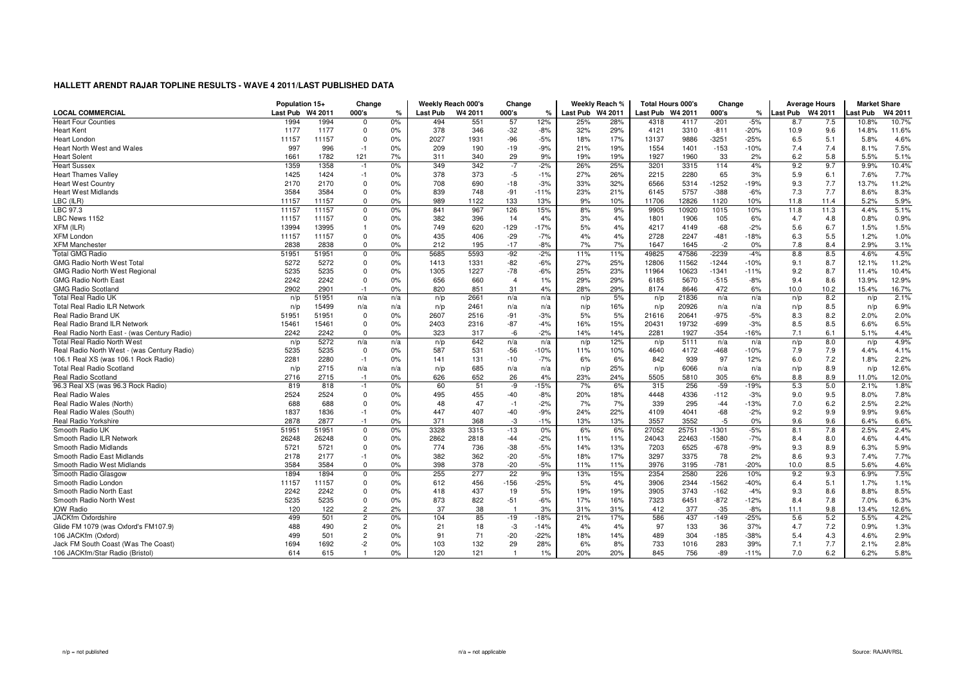|                                             | Population 15+ |         | Change         |     |          | Weekly Reach 000's | Change         |               |                  | Weekly Reach % | <b>Total Hours 000's</b> |       | Change  |        |         | <b>Average Hours</b> | <b>Market Share</b> |         |
|---------------------------------------------|----------------|---------|----------------|-----|----------|--------------------|----------------|---------------|------------------|----------------|--------------------------|-------|---------|--------|---------|----------------------|---------------------|---------|
| <b>LOCAL COMMERCIAL</b>                     | Last Pub       | W4 2011 | 000's          | %   | Last Pub | W4 2011            | 000's          | $\frac{9}{6}$ | Last Pub W4 2011 |                | Last Pub W4 2011         |       | 000's   | ℀      | ast Pub | W4 2011              | ast Pub             | W4 2011 |
| <b>Heart Four Counties</b>                  | 1994           | 1994    | $\Omega$       | 0%  | 494      | 551                | 57             | 12%           | 25%              | 28%            | 4318                     | 4117  | $-201$  | $-5%$  | 8.7     | 7.5                  | 10.8%               | 10.7%   |
| <b>Heart Kent</b>                           | 1177           | 1177    | $\Omega$       | 0%  | 378      | 346                | -32            | $-8%$         | 32%              | 29%            | 4121                     | 3310  | $-811$  | $-20%$ | 10.9    | 9.6                  | 14.8%               | 11.6%   |
| Heart London                                | 11157          | 11157   | $\Omega$       | 0%  | 2027     | 1931               | $-96$          | $-5%$         | 18%              | 17%            | 13137                    | 9886  | $-3251$ | $-25%$ | 6.5     | 5.1                  | 5.8%                | 4.6%    |
| Heart North West and Wales                  | 997            | 996     | $-1$           | 0%  | 209      | 190                | $-19$          | $-9%$         | 21%              | 19%            | 1554                     | 1401  | $-153$  | $-10%$ | 7.4     | 7.4                  | 8.1%                | 7.5%    |
| <b>Heart Solent</b>                         | 1661           | 1782    | 121            | 7%  | 311      | 340                | 29             | 9%            | 19%              | 19%            | 1927                     | 1960  | 33      | 2%     | 6.2     | 5.8                  | 5.5%                | 5.1%    |
| <b>Heart Sussex</b>                         | 1359           | 1358    | $-1$           | 0%  | 349      | 342                | $-7$           | $-2%$         | 26%              | 25%            | 3201                     | 3315  | 114     | 4%     | 9.2     | 9.7                  | 9.9%                | 10.4%   |
| <b>Heart Thames Valley</b>                  | 1425           | 1424    | $-1$           | 0%  | 378      | 373                | $-5$           | $-1%$         | 27%              | 26%            | 2215                     | 2280  | 65      | 3%     | 5.9     | 6.1                  | 7.6%                | 7.7%    |
| <b>Heart West Country</b>                   | 2170           | 2170    | $\Omega$       | 0%  | 708      | 690                | $-18$          | $-3%$         | 33%              | 32%            | 6566                     | 5314  | $-1252$ | $-19%$ | 9.3     | 7.7                  | 13.7%               | 11.2%   |
| <b>Heart West Midlands</b>                  | 3584           | 3584    | $\Omega$       | 0%  | 839      | 748                | $-91$          | $-11%$        | 23%              | 21%            | 6145                     | 5757  | $-388$  | $-6%$  | 7.3     | 7.7                  | 8.6%                | 8.3%    |
| LBC (ILR)                                   | 11157          | 11157   | $\Omega$       | 0%  | 989      | 1122               | 133            | 13%           | 9%               | 10%            | 11706                    | 12826 | 1120    | 10%    | 11.8    | 11.4                 | 5.2%                | 5.9%    |
| LBC 97.3                                    | 11157          | 11157   | 0              | 0%  | 841      | 967                | 126            | 15%           | 8%               | 9%             | 9905                     | 10920 | 1015    | 10%    | 11.8    | 11.3                 | 4.4%                | 5.1%    |
| LBC News 1152                               | 11157          | 11157   | $\Omega$       | 0%  | 382      | 396                | 14             | 4%            | 3%               | 4%             | 1801                     | 1906  | 105     | 6%     | 4.7     | 4.8                  | 0.8%                | 0.9%    |
| XFM (ILR)                                   | 13994          | 13995   | -1             | 0%  | 749      | 620                | $-129$         | $-17%$        | 5%               | 4%             | 4217                     | 4149  | $-68$   | $-2%$  | 5.6     | 6.7                  | 1.5%                | 1.5%    |
| <b>XFM London</b>                           | 11157          | 11157   | $\mathbf 0$    | 0%  | 435      | 406                | $-29$          | $-7%$         | 4%               | 4%             | 2728                     | 2247  | $-481$  | $-18%$ | 6.3     | 5.5                  | 1.2%                | 1.0%    |
| <b>XFM Manchester</b>                       | 2838           | 2838    | $\Omega$       | 0%  | 212      | 195                | $-17$          | $-8%$         | 7%               | 7%             | 1647                     | 1645  | $-2$    | 0%     | 7.8     | 8.4                  | 2.9%                | 3.1%    |
| <b>Total GMG Radio</b>                      | 51951          | 51951   | $\Omega$       | 0%  | 5685     | 5593               | $-92$          | $-2%$         | 11%              | 11%            | 49825                    | 47586 | $-2239$ | $-4%$  | 8.8     | 8.5                  | 4.6%                | 4.5%    |
| <b>GMG Radio North West Total</b>           | 5272           | 5272    | $\Omega$       | 0%  | 1413     | 1331               | $-82$          | $-6%$         | 27%              | 25%            | 12806                    | 11562 | $-1244$ | $-10%$ | 9.1     | 8.7                  | 12.1%               | 11.2%   |
| <b>GMG Radio North West Regional</b>        | 5235           | 5235    | $\Omega$       | 0%  | 1305     | 1227               | $-78$          | -6%           | 25%              | 23%            | 11964                    | 10623 | $-1341$ | $-11%$ | 9.2     | 8.7                  | 11.4%               | 10.4%   |
| <b>GMG Radio North East</b>                 | 2242           | 2242    | 0              | 0%  | 656      | 660                | $\overline{4}$ | 1%            | 29%              | 29%            | 6185                     | 5670  | $-515$  | $-8%$  | 9.4     | 8.6                  | 13.9%               | 12.9%   |
| <b>GMG Radio Scotland</b>                   | 2902           | 2901    | $-1$           | 0%  | 820      | 851                | 31             | 4%            | 28%              | 29%            | 8174                     | 8646  | 472     | 6%     | 10.0    | 10.2                 | 15.4%               | 16.7%   |
| <b>Total Real Radio UK</b>                  | n/p            | 51951   | n/a            | n/a | n/p      | 2661               | n/a            | n/a           | n/p              | 5%             | n/p                      | 21836 | n/a     | n/a    | n/p     | 8.2                  | n/p                 | 2.1%    |
| <b>Total Real Radio ILR Network</b>         | n/p            | 15499   | n/a            | n/a | n/p      | 2461               | n/a            | n/a           | n/p              | 16%            | n/p                      | 20926 | n/a     | n/a    | n/p     | 8.5                  | n/p                 | 6.9%    |
| Real Radio Brand UK                         | 51951          | 51951   | $\Omega$       | 0%  | 2607     | 2516               | $-91$          | $-3%$         | 5%               | 5%             | 21616                    | 20641 | $-975$  | $-5%$  | 8.3     | 8.2                  | 2.0%                | 2.0%    |
| Real Radio Brand ILR Network                | 15461          | 15461   | 0              | 0%  | 2403     | 2316               | $-87$          | $-4%$         | 16%              | 15%            | 20431                    | 19732 | $-699$  | $-3%$  | 8.5     | 8.5                  | 6.6%                | 6.5%    |
| Real Radio North East - (was Century Radio) | 2242           | 2242    | $\Omega$       | 0%  | 323      | 317                | -6             | $-2%$         | 14%              | 14%            | 2281                     | 1927  | $-354$  | $-16%$ | 7.1     | 6.1                  | 5.1%                | 4.4%    |
| <b>Total Real Radio North West</b>          | n/p            | 5272    | n/a            | n/a | n/p      | 642                | n/a            | n/a           | n/p              | 12%            | n/p                      | 5111  | n/a     | n/a    | n/p     | 8.0                  | n/p                 | 4.9%    |
| Real Radio North West - (was Century Radio) | 5235           | 5235    | $\mathbf 0$    | 0%  | 587      | 531                | $-56$          | $-10%$        | 11%              | 10%            | 4640                     | 4172  | $-468$  | $-10%$ | 7.9     | 7.9                  | 4.4%                | 4.1%    |
| 106.1 Real XS (was 106.1 Rock Radio)        | 2281           | 2280    | $-1$           | 0%  | 141      | 131                | $-10$          | $-7%$         | 6%               | 6%             | 842                      | 939   | 97      | 12%    | 6.0     | 7.2                  | 1.8%                | 2.2%    |
| <b>Total Real Radio Scotland</b>            | n/p            | 2715    | n/a            | n/a | n/p      | 685                | n/a            | n/a           | n/p              | 25%            | n/p                      | 6066  | n/a     | n/a    | n/p     | 8.9                  | n/p                 | 12.6%   |
| <b>Real Radio Scotland</b>                  | 2716           | 2715    | $-1$           | 0%  | 626      | 652                | 26             | 4%            | 23%              | 24%            | 5505                     | 5810  | 305     | 6%     | 8.8     | 8.9                  | 11.0%               | 12.0%   |
| 96.3 Real XS (was 96.3 Rock Radio)          | 819            | 818     | $-1$           | 0%  | 60       | 51                 | -9             | $-15%$        | 7%               | 6%             | 315                      | 256   | $-59$   | $-19%$ | 5.3     | 5.0                  | 2.1%                | 1.8%    |
| <b>Real Radio Wales</b>                     | 2524           | 2524    | $\Omega$       | 0%  | 495      | 455                | $-40$          | $-8%$         | 20%              | 18%            | 4448                     | 4336  | $-112$  | $-3%$  | 9.0     | 9.5                  | 8.0%                | 7.8%    |
| Real Radio Wales (North)                    | 688            | 688     | $\Omega$       | 0%  | 48       | 47                 | $-1$           | $-2%$         | 7%               | 7%             | 339                      | 295   | $-44$   | $-13%$ | 7.0     | 6.2                  | 2.5%                | 2.2%    |
| Real Radio Wales (South)                    | 1837           | 1836    | $-1$           | 0%  | 447      | 407                | $-40$          | $-9%$         | 24%              | 22%            | 4109                     | 4041  | $-68$   | $-2%$  | 9.2     | 9.9                  | 9.9%                | 9.6%    |
| <b>Real Radio Yorkshire</b>                 | 2878           | 2877    | $-1$           | 0%  | 371      | 368                | -3             | $-1%$         | 13%              | 13%            | 3557                     | 3552  | $-5$    | 0%     | 9.6     | 9.6                  | 6.4%                | 6.6%    |
| Smooth Radio UK                             | 51951          | 51951   | $\Omega$       | 0%  | 3328     | 3315               | $-13$          | 0%            | 6%               | 6%             | 27052                    | 25751 | $-1301$ | $-5%$  | 8.1     | 7.8                  | 2.5%                | 2.4%    |
| Smooth Radio ILR Network                    | 26248          | 26248   | $\Omega$       | 0%  | 2862     | 2818               | $-44$          | $-2%$         | 11%              | 11%            | 24043                    | 22463 | $-1580$ | $-7%$  | 8.4     | 8.0                  | 4.6%                | 4.4%    |
| Smooth Radio Midlands                       | 5721           | 5721    | $\Omega$       | 0%  | 774      | 736                | $-38$          | $-5%$         | 14%              | 13%            | 7203                     | 6525  | $-678$  | $-9%$  | 9.3     | 8.9                  | 6.3%                | 5.9%    |
| Smooth Radio East Midlands                  | 2178           | 2177    | $-1$           | 0%  | 382      | 362                | $-20$          | $-5%$         | 18%              | 17%            | 3297                     | 3375  | 78      | 2%     | 8.6     | 9.3                  | 7.4%                | 7.7%    |
| Smooth Radio West Midlands                  | 3584           | 3584    | $\Omega$       | 0%  | 398      | 378                | $-20$          | $-5%$         | 11%              | 11%            | 3976                     | 3195  | $-781$  | $-20%$ | 10.0    | 8.5                  | 5.6%                | 4.6%    |
| Smooth Radio Glasgow                        | 1894           | 1894    | 0              | 0%  | 255      | 277                | 22             | 9%            | 13%              | 15%            | 2354                     | 2580  | 226     | 10%    | 9.2     | 9.3                  | 6.9%                | 7.5%    |
| Smooth Radio London                         | 11157          | 11157   | $\Omega$       | 0%  | 612      | 456                | $-156$         | $-25%$        | 5%               | 4%             | 3906                     | 2344  | $-1562$ | $-40%$ | 6.4     | 5.1                  | 1.7%                | 1.1%    |
| Smooth Radio North East                     | 2242           | 2242    | $\Omega$       | 0%  | 418      | 437                | 19             | 5%            | 19%              | 19%            | 3905                     | 3743  | $-162$  | $-4%$  | 9.3     | 8.6                  | 8.8%                | 8.5%    |
| Smooth Radio North West                     | 5235           | 5235    | 0              | 0%  | 873      | 822                | $-51$          | $-6%$         | 17%              | 16%            | 7323                     | 6451  | $-872$  | $-12%$ | 8.4     | 7.8                  | 7.0%                | 6.3%    |
| <b>IOW Radio</b>                            | 120            | 122     | $\overline{2}$ | 2%  | 37       | 38                 |                | 3%            | 31%              | 31%            | 412                      | 377   | $-35$   | $-8%$  | 11.1    | 9.8                  | 13.4%               | 12.6%   |
| JACKfm Oxfordshire                          | 499            | 501     | $\overline{2}$ | 0%  | 104      | 85                 | $-19$          | $-18%$        | 21%              | 17%            | 586                      | 437   | $-149$  | $-25%$ | 5.6     | 5.2                  | 5.5%                | 4.2%    |
| Glide FM 1079 (was Oxford's FM107.9)        | 488            | 490     | $\overline{2}$ | 0%  | 21       | 18                 | -3             | $-14%$        | 4%               | 4%             | 97                       | 133   | 36      | 37%    | 4.7     | 7.2                  | 0.9%                | 1.3%    |
| 106 JACKfm (Oxford)                         | 499            | 501     | 2              | 0%  | 91       | 71                 | $-20$          | $-22%$        | 18%              | 14%            | 489                      | 304   | $-185$  | $-38%$ | 5.4     | 4.3                  | 4.6%                | 2.9%    |
| Jack FM South Coast (Was The Coast)         | 1694           | 1692    | $-2$           | 0%  | 103      | 132                | 29             | 28%           | 6%               | 8%             | 733                      | 1016  | 283     | 39%    | 7.1     | 7.7                  | 2.1%                | 2.8%    |
| 106 JACKfm/Star Radio (Bristol)             | 614            | 615     |                | 0%  | 120      | 121                | -1             | 1%            | 20%              | 20%            | 845                      | 756   | $-89$   | $-11%$ | 7.0     | 6.2                  | 6.2%                | 5.8%    |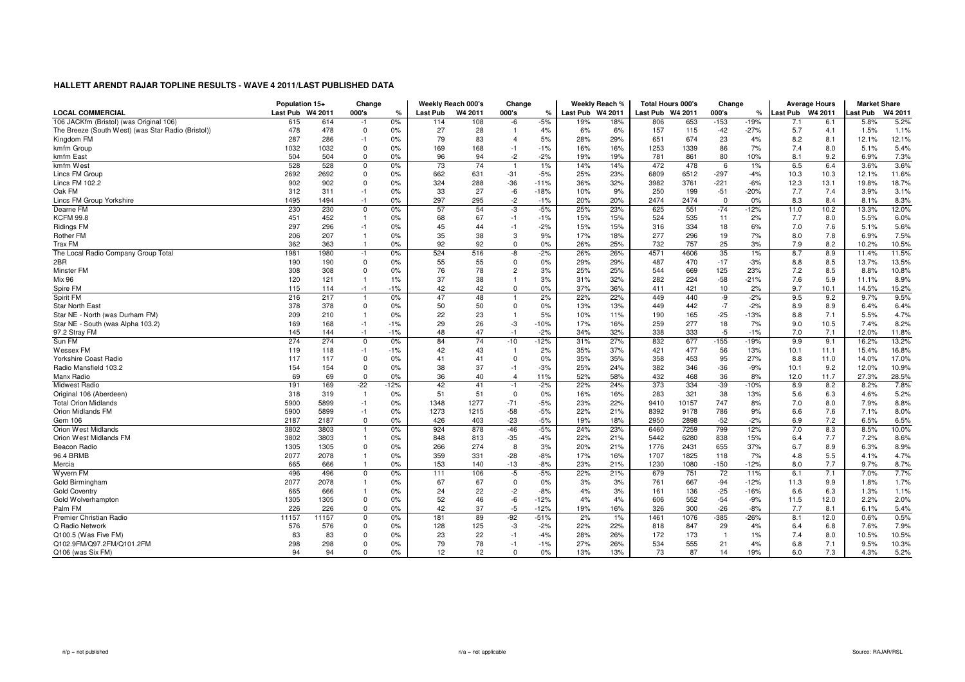|                                                    | Population 15+   |       | Change         |        | Weekly Reach 000's |         | Change         |        |                  | Weekly Reach % | <b>Total Hours 000's</b> |       | Change         |               |                  | <b>Average Hours</b> | <b>Market Share</b> |         |
|----------------------------------------------------|------------------|-------|----------------|--------|--------------------|---------|----------------|--------|------------------|----------------|--------------------------|-------|----------------|---------------|------------------|----------------------|---------------------|---------|
| <b>LOCAL COMMERCIAL</b>                            | Last Pub W4 2011 |       | 000's          | $\%$   | <b>Last Pub</b>    | W4 2011 | 000's          | ℀      | Last Pub W4 2011 |                | Last Pub W4 2011         |       | 000's          | $\frac{9}{6}$ | Last Pub W4 2011 |                      | <b>Last Pub</b>     | W4 2011 |
| 106 JACKfm (Bristol) (was Original 106)            | 615              | 614   | $-1$           | 0%     | 114                | 108     | -6             | $-5%$  | 19%              | 18%            | 806                      | 653   | $-153$         | $-19%$        | 7.1              | 6.1                  | 5.8%                | 5.2%    |
| The Breeze (South West) (was Star Radio (Bristol)) | 478              | 478   | $\overline{0}$ | 0%     | 27                 | 28      | $\mathbf{1}$   | 4%     | 6%               | 6%             | 157                      | 115   | $-42$          | $-27%$        | 5.7              | 4.1                  | 1.5%                | 1.1%    |
| Kingdom FM                                         | 287              | 286   | $-1$           | 0%     | 79                 | 83      | $\overline{4}$ | 5%     | 28%              | 29%            | 651                      | 674   | 23             | 4%            | 8.2              | 8.1                  | 12.1%               | 12.1%   |
| kmfm Group                                         | 1032             | 1032  | $\mathbf{0}$   | 0%     | 169                | 168     | $-1$           | $-1%$  | 16%              | 16%            | 1253                     | 1339  | 86             | 7%            | 7.4              | 8.0                  | 5.1%                | 5.4%    |
| kmfm East                                          | 504              | 504   | $\overline{0}$ | 0%     | 96                 | 94      | $-2$           | $-2%$  | 19%              | 19%            | 781                      | 861   | 80             | 10%           | 8.1              | 9.2                  | 6.9%                | 7.3%    |
| kmfm West                                          | 528              | 528   | $\mathbf 0$    | 0%     | 73                 | 74      | $\overline{1}$ | 1%     | 14%              | 14%            | 472                      | 478   | 6              | 1%            | 6.5              | 6.4                  | 3.6%                | 3.6%    |
| Lincs FM Group                                     | 2692             | 2692  | $\Omega$       | 0%     | 662                | 631     | -31            | -5%    | 25%              | 23%            | 6809                     | 6512  | $-297$         | $-4%$         | 10.3             | 10.3                 | 12.1%               | 11.6%   |
| Lincs FM 102.2                                     | 902              | 902   | $\mathbf{0}$   | 0%     | 324                | 288     | $-36$          | $-11%$ | 36%              | 32%            | 3982                     | 3761  | $-221$         | $-6%$         | 12.3             | 13.1                 | 19.8%               | 18.7%   |
| Oak FM                                             | 312              | 311   | $-1$           | 0%     | 33                 | 27      | $-6$           | $-18%$ | 10%              | 9%             | 250                      | 199   | $-51$          | $-20%$        | 7.7              | 7.4                  | 3.9%                | 3.1%    |
| Lincs FM Group Yorkshire                           | 1495             | 1494  | $-1$           | 0%     | 297                | 295     | $-2$           | $-1%$  | 20%              | 20%            | 2474                     | 2474  | $\mathbf 0$    | 0%            | 8.3              | 8.4                  | 8.1%                | 8.3%    |
| Dearne FM                                          | 230              | 230   | $\mathbf 0$    | 0%     | 57                 | 54      | -3             | $-5%$  | 25%              | 23%            | 625                      | 551   | $-74$          | $-12%$        | 11.0             | 10.2                 | 13.3%               | 12.0%   |
| <b>KCFM 99.8</b>                                   | 451              | 452   | $\overline{1}$ | 0%     | 68                 | 67      | $-1$           | $-1%$  | 15%              | 15%            | 524                      | 535   | 11             | 2%            | 7.7              | 8.0                  | 5.5%                | 6.0%    |
| <b>Ridings FM</b>                                  | 297              | 296   | $-1$           | 0%     | 45                 | 44      | $-1$           | $-2%$  | 15%              | 15%            | 316                      | 334   | 18             | 6%            | 7.0              | 7.6                  | 5.1%                | 5.6%    |
| Rother FM                                          | 206              | 207   | -1             | 0%     | 35                 | 38      | 3              | 9%     | 17%              | 18%            | 277                      | 296   | 19             | 7%            | 8.0              | 7.8                  | 6.9%                | 7.5%    |
| Trax FM                                            | 362              | 363   |                | 0%     | 92                 | 92      | $\mathbf 0$    | 0%     | 26%              | 25%            | 732                      | 757   | 25             | 3%            | 7.9              | 8.2                  | 10.2%               | 10.5%   |
| The Local Radio Company Group Total                | 1981             | 1980  | $-1$           | 0%     | 524                | 516     | -8             | $-2%$  | 26%              | 26%            | 4571                     | 4606  | 35             | 1%            | 8.7              | 8.9                  | 11.4%               | 11.5%   |
| 2BR                                                | 190              | 190   | $\mathbf 0$    | 0%     | 55                 | 55      | $\mathbf 0$    | 0%     | 29%              | 29%            | 487                      | 470   | $-17$          | $-3%$         | 8.8              | 8.5                  | 13.7%               | 13.5%   |
| Minster FM                                         | 308              | 308   | $\Omega$       | 0%     | 76                 | 78      | $\overline{2}$ | 3%     | 25%              | 25%            | 544                      | 669   | 125            | 23%           | 7.2              | 8.5                  | 8.8%                | 10.8%   |
| Mix 96                                             | 120              | 121   | $\overline{1}$ | 1%     | 37                 | 38      | $\overline{1}$ | 3%     | 31%              | 32%            | 282                      | 224   | $-58$          | $-21%$        | 7.6              | 5.9                  | 11.1%               | 8.9%    |
| Spire FM                                           | 115              | 114   | $-1$           | $-1%$  | 42                 | 42      | $\mathbf{0}$   | 0%     | 37%              | 36%            | 411                      | 421   | 10             | 2%            | 9.7              | 10.1                 | 14.5%               | 15.2%   |
| Spirit FM                                          | 216              | 217   |                | 0%     | 47                 | 48      | $\mathbf{1}$   | 2%     | 22%              | 22%            | 449                      | 440   | -9             | $-2%$         | 9.5              | 9.2                  | 9.7%                | 9.5%    |
| <b>Star North East</b>                             | 378              | 378   | $\mathbf 0$    | 0%     | 50                 | 50      | $\mathbf 0$    | 0%     | 13%              | 13%            | 449                      | 442   | $-7$           | $-2%$         | 8.9              | 8.9                  | 6.4%                | 6.4%    |
| Star NE - North (was Durham FM)                    | 209              | 210   | $\overline{1}$ | 0%     | 22                 | 23      | $\overline{1}$ | 5%     | 10%              | 11%            | 190                      | 165   | $-25$          | $-13%$        | 8.8              | 7.1                  | 5.5%                | 4.7%    |
| Star NE - South (was Alpha 103.2)                  | 169              | 168   | $-1$           | $-1%$  | 29                 | 26      | -3             | $-10%$ | 17%              | 16%            | 259                      | 277   | 18             | 7%            | 9.0              | 10.5                 | 7.4%                | 8.2%    |
| 97.2 Stray FM                                      | 145              | 144   | $-1$           | $-1%$  | 48                 | 47      | $-1$           | $-2%$  | 34%              | 32%            | 338                      | 333   | $-5$           | $-1%$         | 7.0              | 7.1                  | 12.0%               | 11.8%   |
| Sun FM                                             | 274              | 274   | $\mathbf 0$    | 0%     | 84                 | 74      | $-10$          | $-12%$ | 31%              | 27%            | 832                      | 677   | $-155$         | $-19%$        | 9.9              | 9.1                  | 16.2%               | 13.2%   |
| Wessex FM                                          | 119              | 118   | -1             | $-1%$  | 42                 | 43      | $\overline{1}$ | 2%     | 35%              | 37%            | 421                      | 477   | 56             | 13%           | 10.1             | 11.1                 | 15.4%               | 16.8%   |
| Yorkshire Coast Radio                              | 117              | 117   | $\mathbf 0$    | 0%     | 41                 | 41      | $\overline{0}$ | 0%     | 35%              | 35%            | 358                      | 453   | 95             | 27%           | 8.8              | 11.0                 | 14.0%               | 17.0%   |
| Radio Mansfield 103.2                              | 154              | 154   | $\mathbf 0$    | 0%     | 38                 | 37      | $-1$           | $-3%$  | 25%              | 24%            | 382                      | 346   | $-36$          | $-9%$         | 10.1             | 9.2                  | 12.0%               | 10.9%   |
| Manx Radio                                         | 69               | 69    | $\mathbf{0}$   | 0%     | 36                 | 40      | $\overline{4}$ | 11%    | 52%              | 58%            | 432                      | 468   | 36             | 8%            | 12.0             | 11.7                 | 27.3%               | 28.5%   |
| <b>Midwest Radio</b>                               | 191              | 169   | $-22$          | $-12%$ | 42                 | 41      | $-1$           | $-2%$  | 22%              | 24%            | 373                      | 334   | $-39$          | $-10%$        | 8.9              | 8.2                  | 8.2%                | 7.8%    |
| Original 106 (Aberdeen)                            | 318              | 319   | $\overline{1}$ | 0%     | 51                 | 51      | $\mathbf 0$    | 0%     | 16%              | 16%            | 283                      | 321   | 38             | 13%           | 5.6              | 6.3                  | 4.6%                | 5.2%    |
| <b>Total Orion Midlands</b>                        | 5900             | 5899  | $-1$           | 0%     | 1348               | 1277    | $-71$          | $-5%$  | 23%              | 22%            | 9410                     | 10157 | 747            | 8%            | 7.0              | 8.0                  | 7.9%                | 8.8%    |
| Orion Midlands FM                                  | 5900             | 5899  | $-1$           | 0%     | 1273               | 1215    | $-58$          | $-5%$  | 22%              | 21%            | 8392                     | 9178  | 786            | 9%            | 6.6              | 7.6                  | 7.1%                | 8.0%    |
| Gem 106                                            | 2187             | 2187  | $\mathbf 0$    | 0%     | 426                | 403     | $-23$          | $-5%$  | 19%              | 18%            | 2950                     | 2898  | $-52$          | $-2%$         | 6.9              | 7.2                  | 6.5%                | 6.5%    |
| Orion West Midlands                                | 3802             | 3803  |                | 0%     | 924                | 878     | $-46$          | $-5%$  | 24%              | 23%            | 6460                     | 7259  | 799            | 12%           | 7.0              | 8.3                  | 8.5%                | 10.0%   |
| Orion West Midlands FM                             | 3802             | 3803  | $\overline{1}$ | 0%     | 848                | 813     | $-35$          | $-4%$  | 22%              | 21%            | 5442                     | 6280  | 838            | 15%           | 6.4              | 7.7                  | 7.2%                | 8.6%    |
| Beacon Radio                                       | 1305             | 1305  | $\Omega$       | 0%     | 266                | 274     | 8              | 3%     | 20%              | 21%            | 1776                     | 2431  | 655            | 37%           | 6.7              | 8.9                  | 6.3%                | 8.9%    |
| 96.4 BRMB                                          | 2077             | 2078  |                | 0%     | 359                | 331     | $-28$          | $-8%$  | 17%              | 16%            | 1707                     | 1825  | 118            | 7%            | 4.8              | 5.5                  | 4.1%                | 4.7%    |
| Mercia                                             | 665              | 666   | $\overline{1}$ | 0%     | 153                | 140     | $-13$          | $-8%$  | 23%              | 21%            | 1230                     | 1080  | $-150$         | $-12%$        | 8.0              | 7.7                  | 9.7%                | 8.7%    |
| Wyvern FM                                          | 496              | 496   | $\mathbf 0$    | 0%     | 111                | 106     | $-5$           | $-5%$  | 22%              | 21%            | 679                      | 751   | 72             | 11%           | 6.1              | 7.1                  | 7.0%                | 7.7%    |
| Gold Birmingham                                    | 2077             | 2078  |                | 0%     | 67                 | 67      | $\mathbf 0$    | 0%     | 3%               | 3%             | 761                      | 667   | $-94$          | $-12%$        | 11.3             | 9.9                  | 1.8%                | 1.7%    |
| <b>Gold Coventry</b>                               | 665              | 666   |                | 0%     | 24                 | 22      | $-2$           | $-8%$  | 4%               | 3%             | 161                      | 136   | $-25$          | $-16%$        | 6.6              | 6.3                  | 1.3%                | 1.1%    |
| Gold Wolverhampton                                 | 1305             | 1305  | $\mathbf 0$    | 0%     | 52                 | 46      | $-6$           | $-12%$ | 4%               | 4%             | 606                      | 552   | $-54$          | $-9%$         | 11.5             | 12.0                 | 2.2%                | 2.0%    |
| Palm FM                                            | 226              | 226   | $\Omega$       | 0%     | 42                 | 37      | $-5$           | $-12%$ | 19%              | 16%            | 326                      | 300   | $-26$          | $-8%$         | 7.7              | 8.1                  | 6.1%                | 5.4%    |
| Premier Christian Radio                            | 11157            | 11157 | $\mathbf 0$    | 0%     | 181                | 89      | $-92$          | $-51%$ | 2%               | 1%             | 1461                     | 1076  | $-385$         | $-26%$        | 8.1              | 12.0                 | 0.6%                | 0.5%    |
| Q Radio Network                                    | 576              | 576   | $\mathbf 0$    | 0%     | 128                | 125     | -3             | $-2%$  | 22%              | 22%            | 818                      | 847   | 29             | 4%            | 6.4              | 6.8                  | 7.6%                | 7.9%    |
| Q100.5 (Was Five FM)                               | 83               | 83    | $\Omega$       | 0%     | 23                 | 22      | $-1$           | $-4%$  | 28%              | 26%            | 172                      | 173   | $\overline{1}$ | 1%            | 7.4              | 8.0                  | 10.5%               | 10.5%   |
| Q102.9FM/Q97.2FM/Q101.2FM                          | 298              | 298   | $\mathbf 0$    | 0%     | 79                 | 78      | $-1$           | $-1%$  | 27%              | 26%            | 534                      | 555   | 21             | 4%            | 6.8              | 7.1                  | 9.5%                | 10.3%   |
| Q106 (was Six FM)                                  | 94               | 94    | $\Omega$       | 0%     | 12                 | 12      | $\Omega$       | 0%     | 13%              | 13%            | 73                       | 87    | 14             | 19%           | 6.0              | 7.3                  | 4.3%                | 5.2%    |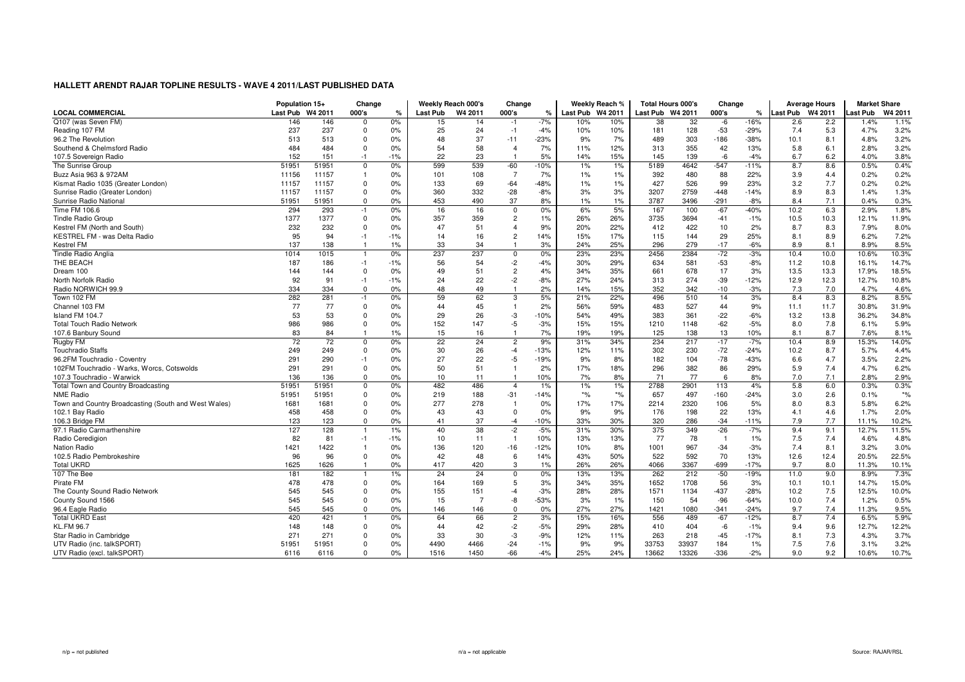|                                                      | Population 15+  |         | Change         |               | Weekly Reach 000's |                | Change         |               |                           | Weekly Reach % | <b>Total Hours 000's</b> |       | Change         |               | <b>Average Hours</b> |      | <b>Market Share</b> |         |
|------------------------------------------------------|-----------------|---------|----------------|---------------|--------------------|----------------|----------------|---------------|---------------------------|----------------|--------------------------|-------|----------------|---------------|----------------------|------|---------------------|---------|
| <b>LOCAL COMMERCIAL</b>                              | <b>Last Pub</b> | W4 2011 | 000's          | $\frac{1}{c}$ | Last Pub           | W4 2011        | 000's          | $\frac{9}{6}$ | Last Pub W4 2011          |                | Last Pub W4 2011         |       | 000's          | $\frac{9}{6}$ | Last Pub W4 2011     |      | <b>Last Pub</b>     | W4 2011 |
| Q107 (was Seven FM)                                  | 146             | 146     | $\Omega$       | 0%            | 15                 | 14             | $-1$           | $-7%$         | 10%                       | 10%            | 38                       | 32    | -6             | $-16%$        | 2.6                  | 2.2  | 1.4%                | 1.1%    |
| Reading 107 FM                                       | 237             | 237     | $\mathbf 0$    | 0%            | 25                 | 24             | $-1$           | $-4%$         | 10%                       | 10%            | 181                      | 128   | $-53$          | $-29%$        | 7.4                  | 5.3  | 4.7%                | 3.2%    |
| 96.2 The Revolution                                  | 513             | 513     | $\mathbf 0$    | 0%            | 48                 | 37             | $-11$          | $-23%$        | 9%                        | 7%             | 489                      | 303   | $-186$         | $-38%$        | 10.1                 | 8.1  | 4.8%                | 3.2%    |
| Southend & Chelmsford Radio                          | 484             | 484     | $\Omega$       | 0%            | 54                 | 58             | $\overline{4}$ | 7%            | 11%                       | 12%            | 313                      | 355   | 42             | 13%           | 5.8                  | 6.1  | 2.8%                | 3.2%    |
| 107.5 Sovereign Radio                                | 152             | 151     | $-1$           | $-1%$         | 22                 | 23             | $\overline{1}$ | 5%            | 14%                       | 15%            | 145                      | 139   | $-6$           | $-4%$         | 6.7                  | 6.2  | 4.0%                | 3.8%    |
| The Sunrise Group                                    | 51951           | 51951   | $\Omega$       | 0%            | 599                | 539            | $-60$          | $-10%$        | $1\%$                     | 1%             | 5189                     | 4642  | $-547$         | $-11%$        | 8.7                  | 8.6  | 0.5%                | 0.4%    |
| Buzz Asia 963 & 972AM                                | 11156           | 11157   | $\overline{1}$ | 0%            | 101                | 108            | $\overline{7}$ | 7%            | $1\%$                     | 1%             | 392                      | 480   | 88             | 22%           | 3.9                  | 4.4  | 0.2%                | 0.2%    |
| Kismat Radio 1035 (Greater London)                   | 11157           | 11157   | $\Omega$       | 0%            | 133                | 69             | $-64$          | $-48%$        | 1%                        | 1%             | 427                      | 526   | 99             | 23%           | 3.2                  | 7.7  | 0.2%                | 0.2%    |
| Sunrise Radio (Greater London)                       | 11157           | 11157   | $\Omega$       | 0%            | 360                | 332            | $-28$          | $-8%$         | 3%                        | 3%             | 3207                     | 2759  | $-448$         | $-14%$        | 8.9                  | 8.3  | 1.4%                | 1.3%    |
| Sunrise Radio National                               | 51951           | 51951   | $\mathbf 0$    | 0%            | 453                | 490            | 37             | 8%            | 1%                        | 1%             | 3787                     | 3496  | $-291$         | $-8%$         | 8.4                  | 7.1  | 0.4%                | 0.3%    |
| Time FM 106.6                                        | 294             | 293     | $-1$           | 0%            | 16                 | 16             | $\mathbf 0$    | 0%            | 6%                        | 5%             | 167                      | 100   | $-67$          | $-40%$        | 10.2                 | 6.3  | 2.9%                | 1.8%    |
| <b>Tindle Radio Group</b>                            | 1377            | 1377    | $\Omega$       | 0%            | 357                | 359            | $\overline{2}$ | 1%            | 26%                       | 26%            | 3735                     | 3694  | $-41$          | $-1%$         | 10.5                 | 10.3 | 12.1%               | 11.9%   |
| Kestrel FM (North and South)                         | 232             | 232     | $\Omega$       | 0%            | 47                 | 51             | $\overline{4}$ | 9%            | 20%                       | 22%            | 412                      | 422   | 10             | 2%            | 8.7                  | 8.3  | 7.9%                | 8.0%    |
| KESTREL FM - was Delta Radio                         | 95              | 94      | $-1$           | $-1%$         | 14                 | 16             | $\overline{2}$ | 14%           | 15%                       | 17%            | 115                      | 144   | 29             | 25%           | 8.1                  | 8.9  | 6.2%                | 7.2%    |
| <b>Kestrel FM</b>                                    | 137             | 138     |                | 1%            | 33                 | 34             | $\overline{1}$ | 3%            | 24%                       | 25%            | 296                      | 279   | $-17$          | $-6%$         | 8.9                  | 8.1  | 8.9%                | 8.5%    |
| Tindle Radio Anglia                                  | 1014            | 1015    |                | 0%            | 237                | 237            | $\mathbf 0$    | 0%            | 23%                       | 23%            | 2456                     | 2384  | $-72$          | $-3%$         | 10.4                 | 10.0 | 10.6%               | 10.3%   |
| THE BEACH                                            | 187             | 186     | $-1$           | $-1%$         | 56                 | 54             | $-2$           | $-4%$         | 30%                       | 29%            | 634                      | 581   | $-53$          | $-8%$         | 11.2                 | 10.8 | 16.1%               | 14.7%   |
| Dream 100                                            | 144             | 144     | $\Omega$       | 0%            | 49                 | 51             | $\overline{2}$ | 4%            | 34%                       | 35%            | 661                      | 678   | 17             | 3%            | 13.5                 | 13.3 | 17.9%               | 18.5%   |
| North Norfolk Radio                                  | 92              | 91      | $-1$           | $-1%$         | 24                 | 22             | $-2$           | $-8%$         | 27%                       | 24%            | 313                      | 274   | $-39$          | $-12%$        | 12.9                 | 12.3 | 12.7%               | 10.8%   |
| Radio NORWICH 99.9                                   | 334             | 334     | $\mathbf 0$    | 0%            | 48                 | 49             | $\overline{1}$ | 2%            | 14%                       | 15%            | 352                      | 342   | $-10$          | $-3%$         | 7.3                  | 7.0  | 4.7%                | 4.6%    |
| Town 102 FM                                          | 282             | 281     | $-1$           | 0%            | 59                 | 62             | 3              | 5%            | 21%                       | 22%            | 496                      | 510   | 14             | 3%            | 8.4                  | 8.3  | 8.2%                | 8.5%    |
| Channel 103 FM                                       | 77              | 77      | $\Omega$       | 0%            | 44                 | 45             | $\overline{1}$ | 2%            | 56%                       | 59%            | 483                      | 527   | 44             | 9%            | 11.1                 | 11.7 | 30.8%               | 31.9%   |
| Island FM 104.7                                      | 53              | 53      | $\Omega$       | 0%            | 29                 | 26             | -3             | $-10%$        | 54%                       | 49%            | 383                      | 361   | $-22$          | $-6%$         | 13.2                 | 13.8 | 36.2%               | 34.8%   |
| <b>Total Touch Radio Network</b>                     | 986             | 986     | $\Omega$       | 0%            | 152                | 147            | $-5$           | $-3%$         | 15%                       | 15%            | 1210                     | 1148  | $-62$          | $-5%$         | 8.0                  | 7.8  | 6.1%                | 5.9%    |
| 107.6 Banbury Sound                                  | 83              | 84      | $\overline{1}$ | 1%            | 15                 | 16             | $\overline{1}$ | 7%            | 19%                       | 19%            | 125                      | 138   | 13             | 10%           | 8.1                  | 8.7  | 7.6%                | 8.1%    |
| Rugby FM                                             | 72              | 72      | $\Omega$       | 0%            | 22                 | 24             | $\overline{2}$ | 9%            | 31%                       | 34%            | 234                      | 217   | $-17$          | $-7%$         | 10.4                 | 8.9  | 15.3%               | 14.0%   |
| <b>Touchradio Staffs</b>                             | 249             | 249     | $\Omega$       | 0%            | 30                 | 26             | $-4$           | $-13%$        | 12%                       | 11%            | 302                      | 230   | $-72$          | $-24%$        | 10.2                 | 8.7  | 5.7%                | 4.4%    |
| 96.2FM Touchradio - Coventry                         | 291             | 290     | $-1$           | 0%            | 27                 | 22             | $-5$           | $-19%$        | 9%                        | 8%             | 182                      | 104   | $-78$          | $-43%$        | 6.6                  | 4.7  | 3.5%                | 2.2%    |
| 102FM Touchradio - Warks, Worcs, Cotswolds           | 291             | 291     | $\mathbf 0$    | 0%            | 50                 | 51             | $\overline{1}$ | 2%            | 17%                       | 18%            | 296                      | 382   | 86             | 29%           | 5.9                  | 7.4  | 4.7%                | 6.2%    |
| 107.3 Touchradio - Warwick                           | 136             | 136     | $\Omega$       | 0%            | 10                 | 11             | $\overline{1}$ | 10%           | 7%                        | 8%             | 71                       | 77    | 6              | 8%            | 7.0                  | 7.1  | 2.8%                | 2.9%    |
| Total Town and Country Broadcasting                  | 51951           | 51951   | $\Omega$       | 0%            | 482                | 486            | $\overline{4}$ | 1%            | 1%                        | 1%             | 2788                     | 2901  | 113            | 4%            | 5.8                  | 6.0  | 0.3%                | 0.3%    |
| <b>NME Radio</b>                                     | 51951           | 51951   | $\Omega$       | 0%            | 219                | 188            | $-31$          | $-14%$        | $\star\circ/_{\!\!\circ}$ | $*$ %          | 657                      | 497   | $-160$         | $-24%$        | 3.0                  | 2.6  | 0.1%                | $*$ %   |
| Town and Country Broadcasting (South and West Wales) | 1681            | 1681    | $\Omega$       | 0%            | 277                | 278            | $\overline{1}$ | 0%            | 17%                       | 17%            | 2214                     | 2320  | 106            | 5%            | 8.0                  | 8.3  | 5.8%                | 6.2%    |
| 102.1 Bay Radio                                      | 458             | 458     | $\mathbf 0$    | 0%            | 43                 | 43             | $\mathbf{0}$   | 0%            | 9%                        | 9%             | 176                      | 198   | 22             | 13%           | 4.1                  | 4.6  | 1.7%                | 2.0%    |
| 106.3 Bridge FM                                      | 123             | 123     | $\Omega$       | 0%            | 41                 | 37             | $-4$           | $-10%$        | 33%                       | 30%            | 320                      | 286   | $-34$          | $-11%$        | 7.9                  | 7.7  | 11.1%               | 10.2%   |
| 97.1 Radio Carmarthenshire                           | 127             | 128     |                | 1%            | 40                 | 38             | $-2$           | $-5%$         | 31%                       | 30%            | 375                      | 349   | $-26$          | $-7%$         | 9.4                  | 9.1  | 12.7%               | 11.5%   |
| Radio Ceredigion                                     | 82              | 81      | $-1$           | $-1%$         | 10                 | 11             | $\overline{1}$ | 10%           | 13%                       | 13%            | 77                       | 78    | $\overline{1}$ | 1%            | 7.5                  | 7.4  | 4.6%                | 4.8%    |
| Nation Radio                                         | 1421            | 1422    | $\overline{1}$ | 0%            | 136                | 120            | $-16$          | $-12%$        | 10%                       | 8%             | 1001                     | 967   | $-34$          | $-3%$         | 7.4                  | 8.1  | 3.2%                | 3.0%    |
| 102.5 Radio Pembrokeshire                            | 96              | 96      | $\Omega$       | 0%            | 42                 | 48             | 6              | 14%           | 43%                       | 50%            | 522                      | 592   | 70             | 13%           | 12.6                 | 12.4 | 20.5%               | 22.5%   |
| <b>Total UKRD</b>                                    | 1625            | 1626    | $\overline{1}$ | 0%            | 417                | 420            | 3              | 1%            | 26%                       | 26%            | 4066                     | 3367  | $-699$         | $-17%$        | 9.7                  | 8.0  | 11.3%               | 10.1%   |
| 107 The Bee                                          | 181             | 182     | -1             | 1%            | 24                 | 24             | $\mathbf 0$    | 0%            | 13%                       | 13%            | 262                      | 212   | $-50$          | $-19%$        | 11.0                 | 9.0  | 8.9%                | 7.3%    |
| Pirate FM                                            | 478             | 478     | $\Omega$       | 0%            | 164                | 169            | 5              | 3%            | 34%                       | 35%            | 1652                     | 1708  | 56             | 3%            | 10.1                 | 10.1 | 14.7%               | 15.0%   |
| The County Sound Radio Network                       | 545             | 545     | $\Omega$       | 0%            | 155                | 151            | $-4$           | $-3%$         | 28%                       | 28%            | 1571                     | 1134  | $-437$         | $-28%$        | 10.2                 | 7.5  | 12.5%               | 10.0%   |
| County Sound 1566                                    | 545             | 545     | 0              | 0%            | 15                 | $\overline{7}$ | -8             | $-53%$        | 3%                        | 1%             | 150                      | 54    | $-96$          | $-64%$        | 10.0                 | 7.4  | 1.2%                | 0.5%    |
| 96.4 Eagle Radio                                     | 545             | 545     | $\Omega$       | 0%            | 146                | 146            | $\mathbf{0}$   | 0%            | 27%                       | 27%            | 1421                     | 1080  | $-341$         | $-24%$        | 9.7                  | 7.4  | 11.3%               | 9.5%    |
| <b>Total UKRD East</b>                               | 420             | 421     |                | 0%            | 64                 | 66             | $\overline{2}$ | 3%            | 15%                       | 16%            | 556                      | 489   | $-67$          | $-12%$        | 8.7                  | 7.4  | 6.5%                | 5.9%    |
| <b>KL.FM 96.7</b>                                    | 148             | 148     | $\Omega$       | 0%            | 44                 | 42             | $-2$           | $-5%$         | 29%                       | 28%            | 410                      | 404   | -6             | $-1%$         | 9.4                  | 9.6  | 12.7%               | 12.2%   |
| Star Radio in Cambridge                              | 271             | 271     | $\Omega$       | 0%            | 33                 | 30             | -3             | -9%           | 12%                       | 11%            | 263                      | 218   | $-45$          | $-17%$        | 8.1                  | 7.3  | 4.3%                | 3.7%    |
| UTV Radio (inc. talkSPORT)                           | 51951           | 51951   | $\Omega$       | 0%            | 4490               | 4466           | $-24$          | $-1%$         | 9%                        | 9%             | 33753                    | 33937 | 184            | 1%            | 7.5                  | 7.6  | 3.1%                | 3.2%    |
| UTV Radio (excl. talkSPORT)                          | 6116            | 6116    | $\Omega$       | 0%            | 1516               | 1450           | $-66$          | $-4%$         | 25%                       | 24%            | 13662                    | 13326 | $-336$         | $-2%$         | 9.0                  | 9.2  | 10.6%               | 10.7%   |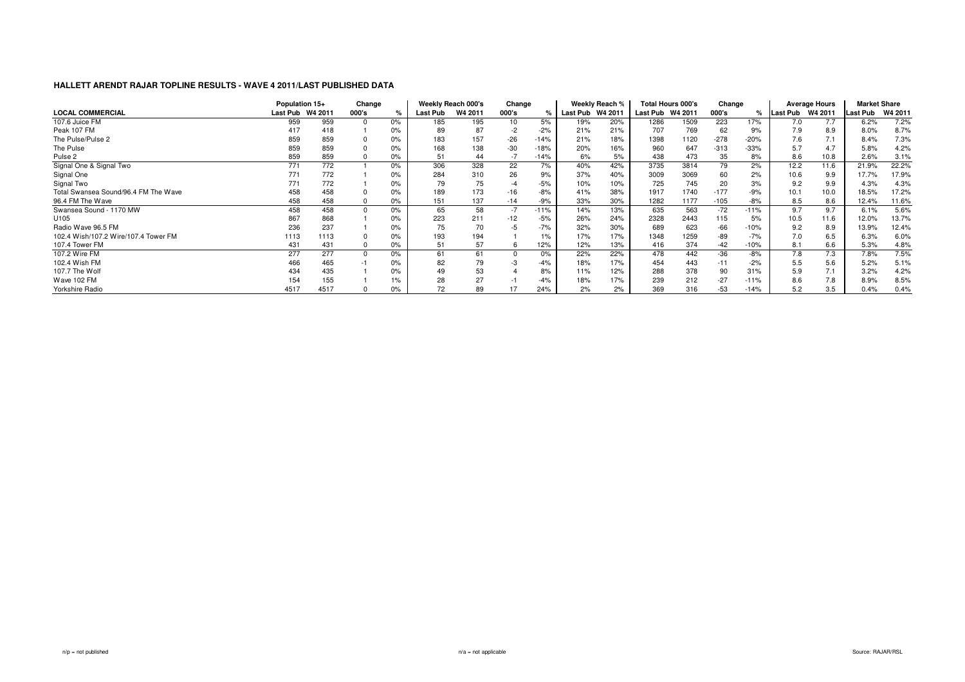|                                      | Population 15+ |         | Change |      |          | Weekly Reach 000's | Change |        |                  | Weekly Reach % |                  | <b>Total Hours 000's</b> | Change |               |          | <b>Average Hours</b> | <b>Market Share</b> |         |
|--------------------------------------|----------------|---------|--------|------|----------|--------------------|--------|--------|------------------|----------------|------------------|--------------------------|--------|---------------|----------|----------------------|---------------------|---------|
| <b>LOCAL COMMERCIAL</b>              | Last Pub       | W4 2011 | 000's  | $\%$ | Last Pub | W4 2011            | 000's  |        | Last Pub W4 2011 |                | Last Pub W4 2011 |                          | 000's  | $\frac{9}{6}$ | Last Pub | W4 2011              | <b>Last Pub</b>     | W4 2011 |
| 107.6 Juice FM                       | 959            | 959     |        | 0%   | 185      | 195                | 10     | 5%     | 19%              | 20%            | 1286             | 1509                     | 223    | 17%           | 7.0      | 7.7                  | 6.2%                | 7.2%    |
| Peak 107 FM                          | 417            | 418     |        | 0%   | 89       | 8                  | -2     | $-2%$  | 21%              | 21%            | 707              | 769                      | 62     | 9%            | 7.9      | 8.9                  | 8.0%                | 8.7%    |
| The Pulse/Pulse 2                    | 859            | 859     |        | 0%   | 183      | 157                | -26    | $-14%$ | 21%              | 18%            | 1398             | 1120                     | $-278$ | $-20%$        | 7.6      | 7.1                  | 8.4%                | 7.3%    |
| The Pulse                            | 859            | 859     |        | 0%   | 168      | 138                | $-30$  | $-18%$ | 20%              | 16%            | 960              | 647                      | $-313$ | $-33%$        | 5.7      | 4.7                  | 5.8%                | 4.2%    |
| Pulse 2                              | 859            | 859     |        | 0%   | 51       | 44                 | $-7$   | -14%   | 6%               | 5%             | 438              | 473                      | 35     | 8%            | 8.6      | 10.8                 | 2.6%                | 3.1%    |
| Signal One & Signal Two              | 771            | 772     |        | 0%   | 306      | 328                | 22     | 7%     | 40%              | 42%            | 3735             | 3814                     | 79     | 2%            | 12.2     | 11.6                 | 21.9%               | 22.2%   |
| Signal One                           | 771            | 772     |        | 0%   | 284      | 310                | 26     | 9%     | 37%              | 40%            | 3009             | 3069                     | 60     | 2%            | 10.6     | 9.9                  | 17.7%               | 17.9%   |
| Signal Two                           | 771            | 772     |        | 0%   | 79       | 75                 | $-4$   | $-5%$  | 10%              | 10%            | 725              | 745                      | 20     | 3%            | 9.2      | 9.9                  | 4.3%                | 4.3%    |
| Total Swansea Sound/96.4 FM The Wave | 458            | 458     |        | 0%   | 189      | 173                | $-16$  | $-8%$  | 41%              | 38%            | 1917             | 1740                     | $-177$ | $-9%$         | 10.1     | 10.0                 | 18.5%               | 17.2%   |
| 96.4 FM The Wave                     | 458            | 458     |        | 0%   | 151      | 137                | $-14$  | $-9%$  | 33%              | 30%            | 1282             | 1177                     | $-105$ | $-8%$         | 8.5      | 8.6                  | 12.4%               | 11.6%   |
| Swansea Sound - 1170 MW              | 458            | 458     |        | 0%   | 65       | 58                 |        | $-11%$ | 14%              | 13%            | 635              | 563                      | $-72$  | $-11%$        | 9.7      | 9.7                  | 6.1%                | 5.6%    |
| U105                                 | 867            | 868     |        | 0%   | 223      | 211                | $-12$  | $-5%$  | 26%              | 24%            | 2328             | 2443                     | 115    | 5%            | 10.5     | 11.6                 | 12.0%               | 13.7%   |
| Radio Wave 96.5 FM                   | 236            | 237     |        | 0%   | 75       | 70                 | $-5$   | $-7%$  | 32%              | 30%            | 689              | 623                      | $-66$  | $-10%$        | 9.2      | 8.9                  | 13.9%               | 12.4%   |
| 102.4 Wish/107.2 Wire/107.4 Tower FM | 1113           | 1113    |        | 0%   | 193      | 194                |        | 1%     | 17%              | 17%            | 1348             | 1259                     | $-89$  | $-7%$         | 7.0      | 6.5                  | 6.3%                | 6.0%    |
| 107.4 Tower FM                       | 431            | 431     |        | 0%   | 51       |                    |        | 12%    | 12%              | 13%            | 416              | 374                      | $-42$  | $-10%$        | 8.1      | 6.6                  | 5.3%                | 4.8%    |
| 107.2 Wire FM                        | 277            | 277     |        | 0%   | 61       |                    |        | 0%     | 22%              | 22%            | 478              | 442                      | -36    | $-8%$         | 7.8      | 7.3                  | 7.8%                | 7.5%    |
| 102.4 Wish FM                        | 466            | 465     |        | 0%   | 82       |                    | -3     | $-4%$  | 18%              | 17%            | 454              | 443                      | $-11$  | $-2%$         | 5.5      | 5.6                  | 5.2%                | 5.1%    |
| 107.7 The Wolf                       | 434            | 435     |        | 0%   | 49       |                    |        | 8%     | 11%              | 12%            | 288              | 378                      | 90     | 31%           | 5.9      | 7.1                  | 3.2%                | 4.2%    |
| Wave 102 FM                          | 154            | 155     |        | 1%   | 28       | 27                 |        | $-4%$  | 18%              | 17%            | 239              | 212                      | $-27$  | $-11%$        | 8.6      | 7.8                  | 8.9%                | 8.5%    |
| Yorkshire Radio                      | 4517           | 4517    |        | 0%   | 72       | 89                 |        | 24%    | 2%               | 2%             | 369              | 316                      | $-53$  | $-14%$        | 5.2      | 3.5                  | 0.4%                | 0.4%    |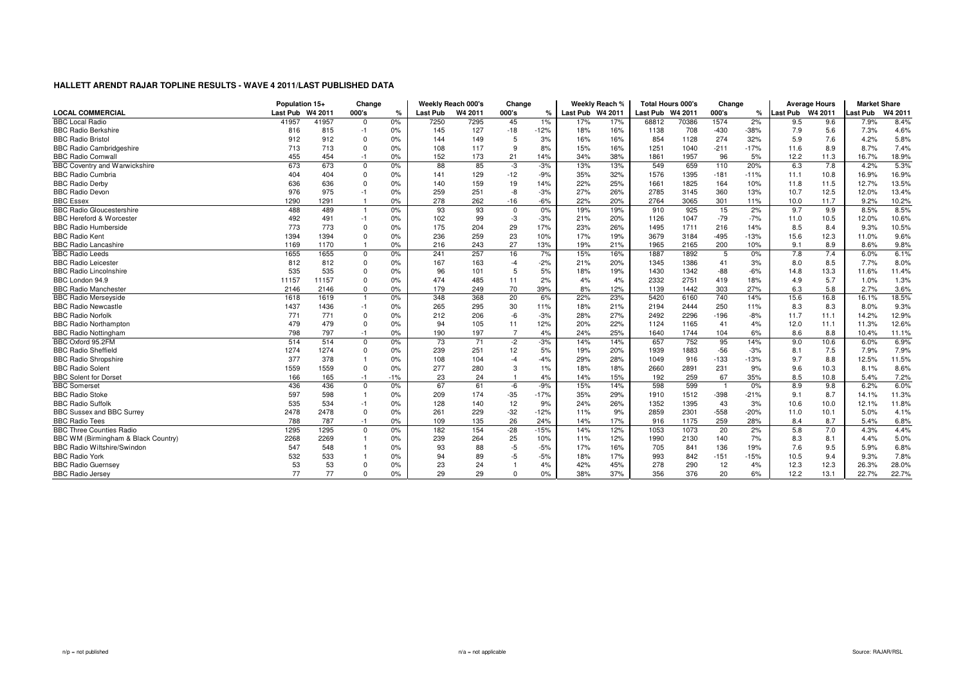|                                      | Population 15+   |       | Change      |       |                 | Weekly Reach 000's | Change         |        |                  | Weekly Reach % | <b>Total Hours 000's</b> |       | Change |        |                  | <b>Average Hours</b> | <b>Market Share</b> |        |
|--------------------------------------|------------------|-------|-------------|-------|-----------------|--------------------|----------------|--------|------------------|----------------|--------------------------|-------|--------|--------|------------------|----------------------|---------------------|--------|
| <b>LOCAL COMMERCIAL</b>              | Last Pub W4 2011 |       | 000's       | %     | <b>Last Pub</b> | W4 2011            | 000's          | %      | Last Pub W4 2011 |                | Last Pub W4 2011         |       | 000's  | ℀      | Last Pub W4 2011 |                      | ast Pub             | W4 201 |
| <b>BBC Local Radio</b>               | 41957            | 41957 | $\Omega$    | 0%    | 7250            | 7295               | 45             | 1%     | 17%              | 17%            | 68812                    | 70386 | 1574   | 2%     | 9.5              | 9.6                  | 7.9%                | 8.4%   |
| <b>BBC Radio Berkshire</b>           | 816              | 815   | $-1$        | 0%    | 145             | 127                | $-18$          | $-12%$ | 18%              | 16%            | 1138                     | 708   | $-430$ | $-38%$ | 7.9              | 5.6                  | 7.3%                | 4.6%   |
| <b>BBC Radio Bristol</b>             | 912              | 912   | $\Omega$    | 0%    | 144             | 149                | 5              | 3%     | 16%              | 16%            | 854                      | 1128  | 274    | 32%    | 5.9              | 7.6                  | 4.2%                | 5.8%   |
| <b>BBC Radio Cambridgeshire</b>      | 713              | 713   | $\Omega$    | 0%    | 108             | 117                | -9             | 8%     | 15%              | 16%            | 1251                     | 1040  | $-211$ | $-17%$ | 11.6             | 8.9                  | 8.7%                | 7.4%   |
| <b>BBC Radio Cornwall</b>            | 455              | 454   | $-1$        | 0%    | 152             | 173                | 21             | 14%    | 34%              | 38%            | 1861                     | 1957  | 96     | 5%     | 12.2             | 11.3                 | 16.7%               | 18.9%  |
| <b>BBC Coventry and Warwickshire</b> | 673              | 673   | $\mathbf 0$ | 0%    | 88              | 85                 | -3             | $-3%$  | 13%              | 13%            | 549                      | 659   | 110    | 20%    | 6.3              | 7.8                  | 4.2%                | 5.3%   |
| <b>BBC Radio Cumbria</b>             | 404              | 404   | $\Omega$    | 0%    | 141             | 129                | $-12$          | $-9%$  | 35%              | 32%            | 1576                     | 1395  | $-181$ | $-11%$ | 11.1             | 10.8                 | 16.9%               | 16.9%  |
| <b>BBC Radio Derby</b>               | 636              | 636   | $\Omega$    | 0%    | 140             | 159                | 19             | 14%    | 22%              | 25%            | 1661                     | 1825  | 164    | 10%    | 11.8             | 11.5                 | 12.7%               | 13.5%  |
| <b>BBC Radio Devon</b>               | 976              | 975   | $-1$        | 0%    | 259             | 251                | -8             | $-3%$  | 27%              | 26%            | 2785                     | 3145  | 360    | 13%    | 10.7             | 12.5                 | 12.0%               | 13.4%  |
| <b>BBC Essex</b>                     | 1290             | 1291  |             | 0%    | 278             | 262                | $-16$          | $-6%$  | 22%              | 20%            | 2764                     | 3065  | 301    | 11%    | 10.0             | 11.7                 | 9.2%                | 10.2%  |
| <b>BBC Radio Gloucestershire</b>     | 488              | 489   |             | 0%    | 93              | 93                 | $\mathbf 0$    | 0%     | 19%              | 19%            | 910                      | 925   | 15     | 2%     | 9.7              | 9.9                  | 8.5%                | 8.5%   |
| <b>BBC Hereford &amp; Worcester</b>  | 492              | 491   | $-1$        | 0%    | 102             | 99                 | -3             | $-3%$  | 21%              | 20%            | 1126                     | 1047  | $-79$  | $-7%$  | 11.0             | 10.5                 | 12.0%               | 10.6%  |
| <b>BBC Radio Humberside</b>          | 773              | 773   | $\Omega$    | 0%    | 175             | 204                | 29             | 17%    | 23%              | 26%            | 1495                     | 1711  | 216    | 14%    | 8.5              | 8.4                  | 9.3%                | 10.5%  |
| <b>BBC Radio Kent</b>                | 1394             | 1394  | $\Omega$    | 0%    | 236             | 259                | 23             | 10%    | 17%              | 19%            | 3679                     | 3184  | $-495$ | $-13%$ | 15.6             | 12.3                 | 11.0%               | 9.6%   |
| <b>BBC Radio Lancashire</b>          | 1169             | 1170  |             | 0%    | 216             | 243                | 27             | 13%    | 19%              | 21%            | 1965                     | 2165  | 200    | 10%    | 9.1              | 8.9                  | 8.6%                | 9.8%   |
| <b>BBC Radio Leeds</b>               | 1655             | 1655  | $\mathbf 0$ | 0%    | 241             | 257                | 16             | 7%     | 15%              | 16%            | 1887                     | 1892  | - 5    | 0%     | 7.8              | 7.4                  | 6.0%                | 6.1%   |
| <b>BBC Radio Leicester</b>           | 812              | 812   | $\Omega$    | 0%    | 167             | 163                | $-4$           | $-2%$  | 21%              | 20%            | 1345                     | 1386  | 41     | 3%     | 8.0              | 8.5                  | 7.7%                | 8.0%   |
| <b>BBC Radio Lincolnshire</b>        | 535              | 535   | $\Omega$    | 0%    | 96              | 101                | 5              | 5%     | 18%              | 19%            | 1430                     | 1342  | $-88$  | $-6%$  | 14.8             | 13.3                 | 11.6%               | 11.4%  |
| BBC London 94.9                      | 11157            | 11157 | $\Omega$    | 0%    | 474             | 485                | 11             | 2%     | 4%               | 4%             | 2332                     | 2751  | 419    | 18%    | 4.9              | 5.7                  | 1.0%                | 1.3%   |
| <b>BBC Radio Manchester</b>          | 2146             | 2146  | $\Omega$    | 0%    | 179             | 249                | 70             | 39%    | 8%               | 12%            | 1139                     | 1442  | 303    | 27%    | 6.3              | 5.8                  | 2.7%                | 3.6%   |
| <b>BBC Radio Merseyside</b>          | 1618             | 1619  | -1          | 0%    | 348             | 368                | 20             | 6%     | 22%              | 23%            | 5420                     | 6160  | 740    | 14%    | 15.6             | 16.8                 | 16.1%               | 18.5%  |
| <b>BBC Radio Newcastle</b>           | 1437             | 1436  | $-1$        | 0%    | 265             | 295                | 30             | 11%    | 18%              | 21%            | 2194                     | 2444  | 250    | 11%    | 8.3              | 8.3                  | 8.0%                | 9.3%   |
| <b>BBC Radio Norfolk</b>             | 771              | 771   | $\Omega$    | 0%    | 212             | 206                | $-6$           | $-3%$  | 28%              | 27%            | 2492                     | 2296  | $-196$ | $-8%$  | 11.7             | 11.1                 | 14.2%               | 12.9%  |
| <b>BBC Radio Northampton</b>         | 479              | 479   | $\Omega$    | 0%    | 94              | 105                | 11             | 12%    | 20%              | 22%            | 1124                     | 1165  | 41     | 4%     | 12.0             | 11.1                 | 11.3%               | 12.6%  |
| <b>BBC Radio Nottingham</b>          | 798              | 797   | $-1$        | 0%    | 190             | 197                | $\overline{7}$ | 4%     | 24%              | 25%            | 1640                     | 1744  | 104    | 6%     | 8.6              | 8.8                  | 10.4%               | 11.1%  |
| BBC Oxford 95.2FM                    | 514              | 514   | $\mathbf 0$ | 0%    | 73              | 71                 | $-2$           | $-3%$  | 14%              | 14%            | 657                      | 752   | 95     | 14%    | 9.0              | 10.6                 | 6.0%                | 6.9%   |
| <b>BBC Radio Sheffield</b>           | 1274             | 1274  | $\Omega$    | 0%    | 239             | 251                | 12             | 5%     | 19%              | 20%            | 1939                     | 1883  | $-56$  | $-3%$  | 8.1              | 7.5                  | 7.9%                | 7.9%   |
| <b>BBC Radio Shropshire</b>          | 377              | 378   |             | 0%    | 108             | 104                | $-4$           | $-4%$  | 29%              | 28%            | 1049                     | 916   | $-133$ | $-13%$ | 9.7              | 8.8                  | 12.5%               | 11.5%  |
| <b>BBC Radio Solent</b>              | 1559             | 1559  | $\Omega$    | 0%    | 277             | 280                | 3              | 1%     | 18%              | 18%            | 2660                     | 2891  | 231    | 9%     | 9.6              | 10.3                 | 8.1%                | 8.6%   |
| <b>BBC Solent for Dorset</b>         | 166              | 165   | $-1$        | $-1%$ | 23              | 24                 |                | 4%     | 14%              | 15%            | 192                      | 259   | 67     | 35%    | 8.5              | 10.8                 | 5.4%                | 7.2%   |
| <b>BBC</b> Somerset                  | 436              | 436   | $\Omega$    | 0%    | 67              | 61                 | -6             | $-9%$  | 15%              | 14%            | 598                      | 599   | - 1    | 0%     | 8.9              | 9.8                  | 6.2%                | 6.0%   |
| <b>BBC Radio Stoke</b>               | 597              | 598   |             | 0%    | 209             | 174                | $-35$          | $-17%$ | 35%              | 29%            | 1910                     | 1512  | $-398$ | $-21%$ | 9.1              | 8.7                  | 14.1%               | 11.3%  |
| <b>BBC Radio Suffolk</b>             | 535              | 534   | $-1$        | 0%    | 128             | 140                | 12             | 9%     | 24%              | 26%            | 1352                     | 1395  | 43     | 3%     | 10.6             | 10.0                 | 12.1%               | 11.8%  |
| <b>BBC Sussex and BBC Surrey</b>     | 2478             | 2478  | $\Omega$    | 0%    | 261             | 229                | $-32$          | $-12%$ | 11%              | 9%             | 2859                     | 2301  | $-558$ | $-20%$ | 11.0             | 10.1                 | 5.0%                | 4.1%   |
| <b>BBC Radio Tees</b>                | 788              | 787   | $-1$        | 0%    | 109             | 135                | 26             | 24%    | 14%              | 17%            | 916                      | 1175  | 259    | 28%    | 8.4              | 8.7                  | 5.4%                | 6.8%   |
| <b>BBC Three Counties Radio</b>      | 1295             | 1295  | $\mathbf 0$ | 0%    | 182             | 154                | $-28$          | $-15%$ | 14%              | 12%            | 1053                     | 1073  | 20     | 2%     | 5.8              | 7.0                  | 4.3%                | 4.4%   |
| BBC WM (Birmingham & Black Country)  | 2268             | 2269  |             | 0%    | 239             | 264                | 25             | 10%    | 11%              | 12%            | 1990                     | 2130  | 140    | 7%     | 8.3              | 8.1                  | 4.4%                | 5.0%   |
| <b>BBC Radio Wiltshire/Swindon</b>   | 547              | 548   |             | 0%    | 93              | 88                 | $-5$           | $-5%$  | 17%              | 16%            | 705                      | 841   | 136    | 19%    | 7.6              | 9.5                  | 5.9%                | 6.8%   |
| <b>BBC Radio York</b>                | 532              | 533   |             | 0%    | 94              | 89                 | $-5$           | $-5%$  | 18%              | 17%            | 993                      | 842   | $-151$ | $-15%$ | 10.5             | 9.4                  | 9.3%                | 7.8%   |
| <b>BBC Radio Guernsey</b>            | 53               | 53    |             | 0%    | 23              | 24                 |                | 4%     | 42%              | 45%            | 278                      | 290   | 12     | 4%     | 12.3             | 12.3                 | 26.3%               | 28.0%  |
| <b>BBC Radio Jersey</b>              | 77               | 77    | $\Omega$    | 0%    | 29              | 29                 | $\Omega$       | 0%     | 38%              | 37%            | 356                      | 376   | 20     | 6%     | 12.2             | 13.1                 | 22.7%               | 22.7%  |